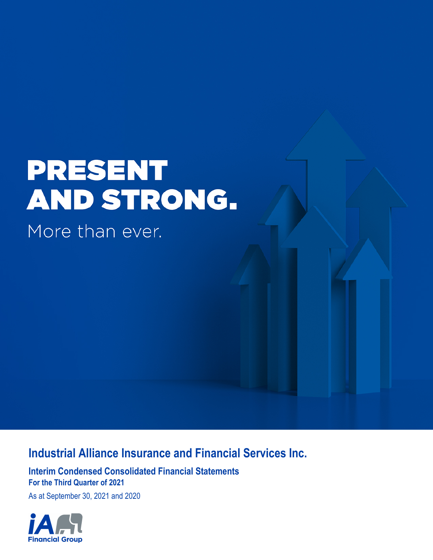# **PRESENT** AND STRONG.

More than ever.

# **Industrial Alliance Insurance and Financial Services Inc.**

**Interim Condensed Consolidated Financial Statements For the Third Quarter of 2021**

As at September 30, 2021 and 2020

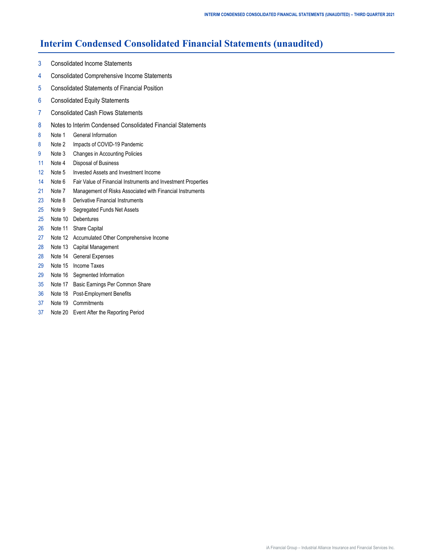## **Interim Condensed Consolidated Financial Statements (unaudited)**

- [3 Consolidated Income Statements](#page-2-0)
- [4 Consolidated Comprehensive Income Statements](#page-3-0)
- [5 Consolidated Statements of Financial Position](#page-4-0)
- [6 Consolidated Equity Statements](#page-5-0)
- [7 Consolidated Cash Flows Statements](#page-6-0)
- [8 Notes to Interim Condensed Consolidated Financial Statements](#page-7-0)
- [8 Note 1 General Information](#page-7-0)
- [8 Note](#page-7-0) 2 [Impacts of COVID-19 Pandemic](#page-7-0)
- [9 Note](#page-8-0) 3 [Changes in Accounting Policies](#page-8-0)
- [11 Note 4 Disposal of Business](#page-10-0)
- [12 Note 5 Invested Assets and Investment Income](#page-11-0)
- [14 Note 6 Fair Value of Financial Instruments and Investment Properties](#page-13-0)
- [21 Note 7 Management of Risks Associated with Financial Instruments](#page-20-0)
- [23 Note 8 Derivative Financial Instruments](#page-22-0)
- [25](#page-24-0) [Note 9](#page-24-0) [Segregated Funds Net Assets](#page-24-0)
- [25 Note 1](#page-24-0)0 [Debentures](#page-24-0)
- [26 Note 1](#page-25-0)1 [Share Capital](#page-25-0)
- [27 Note 1](#page-26-0)2 [Accumulated Other Comprehensive Income](#page-26-0)
- [28 Note 1](#page-27-0)3 [Capital Management](#page-27-0)
- [28 Note 1](#page-27-0)4 [General Expenses](#page-27-0)
- [29 Note 1](#page-28-0)5 [Income Taxes](#page-28-0)
- [29 Note 1](#page-28-0)6 [Segmented Information](#page-28-0)
- [35 Note 1](#page-34-0)7 [Basic Earnings Per Common Share](#page-34-0)
- [36 Note 1](#page-35-0)8 [Post-Employment Benefits](#page-35-0)
- [37](#page-36-0) [Note 1](#page-36-0)9 [Commitments](#page-36-0)
- [37 Note 20 Event After the Reporting Period](#page-36-0)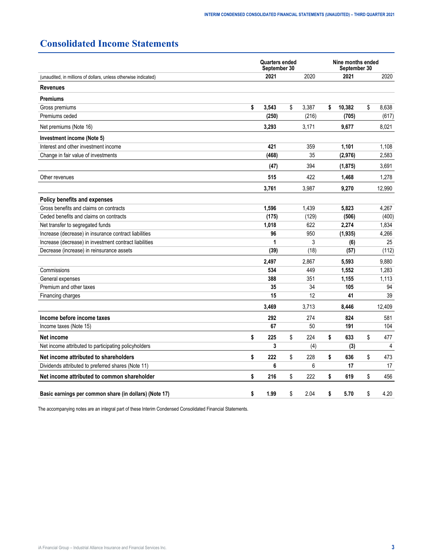## <span id="page-2-0"></span>**Consolidated Income Statements**

|                                                                 | <b>Quarters ended</b><br>September 30 |             | Nine months ended<br>September 30 |    |                |  |
|-----------------------------------------------------------------|---------------------------------------|-------------|-----------------------------------|----|----------------|--|
| (unaudited, in millions of dollars, unless otherwise indicated) | 2021                                  | 2020        | 2021                              |    | 2020           |  |
| <b>Revenues</b>                                                 |                                       |             |                                   |    |                |  |
| <b>Premiums</b>                                                 |                                       |             |                                   |    |                |  |
| Gross premiums                                                  | \$<br>3,543                           | \$<br>3,387 | \$<br>10,382                      | \$ | 8.638          |  |
| Premiums ceded                                                  | (250)                                 | (216)       | (705)                             |    | (617)          |  |
| Net premiums (Note 16)                                          | 3,293                                 | 3,171       | 9,677                             |    | 8,021          |  |
| Investment income (Note 5)                                      |                                       |             |                                   |    |                |  |
| Interest and other investment income                            | 421                                   | 359         | 1,101                             |    | 1,108          |  |
| Change in fair value of investments                             | (468)                                 | 35          | (2,976)                           |    | 2,583          |  |
|                                                                 | (47)                                  | 394         | (1, 875)                          |    | 3,691          |  |
| Other revenues                                                  | 515                                   | 422         | 1,468                             |    | 1.278          |  |
|                                                                 | 3,761                                 | 3,987       | 9,270                             |    | 12,990         |  |
| <b>Policy benefits and expenses</b>                             |                                       |             |                                   |    |                |  |
| Gross benefits and claims on contracts                          | 1,596                                 | 1,439       | 5,823                             |    | 4,267          |  |
| Ceded benefits and claims on contracts                          | (175)                                 | (129)       | (506)                             |    | (400)          |  |
| Net transfer to segregated funds                                | 1,018                                 | 622         | 2,274                             |    | 1,834          |  |
| Increase (decrease) in insurance contract liabilities           | 96                                    | 950         | (1, 935)                          |    | 4,266          |  |
| Increase (decrease) in investment contract liabilities          | 1                                     | 3           | (6)                               |    | 25             |  |
| Decrease (increase) in reinsurance assets                       | (39)                                  | (18)        | (57)                              |    | (112)          |  |
|                                                                 | 2,497                                 | 2,867       | 5,593                             |    | 9,880          |  |
| Commissions                                                     | 534                                   | 449         | 1,552                             |    | 1,283          |  |
| General expenses                                                | 388                                   | 351         | 1,155                             |    | 1,113          |  |
| Premium and other taxes                                         | 35                                    | 34          | 105                               |    | 94             |  |
| Financing charges                                               | 15                                    | 12          | 41                                |    | 39             |  |
|                                                                 | 3,469                                 | 3,713       | 8,446                             |    | 12,409         |  |
| Income before income taxes                                      | 292                                   | 274         | 824                               |    | 581            |  |
| Income taxes (Note 15)                                          | 67                                    | 50          | 191                               |    | 104            |  |
| Net income                                                      | \$<br>225                             | \$<br>224   | \$<br>633                         | \$ | 477            |  |
| Net income attributed to participating policyholders            | 3                                     | (4)         | (3)                               |    | $\overline{4}$ |  |
| Net income attributed to shareholders                           | \$<br>222                             | \$<br>228   | \$<br>636                         | \$ | 473            |  |
| Dividends attributed to preferred shares (Note 11)              | 6                                     | 6           | 17                                |    | 17             |  |
| Net income attributed to common shareholder                     | \$<br>216                             | \$<br>222   | \$<br>619                         | \$ | 456            |  |
| Basic earnings per common share (in dollars) (Note 17)          | \$<br>1.99                            | \$<br>2.04  | \$<br>5.70                        | \$ | 4.20           |  |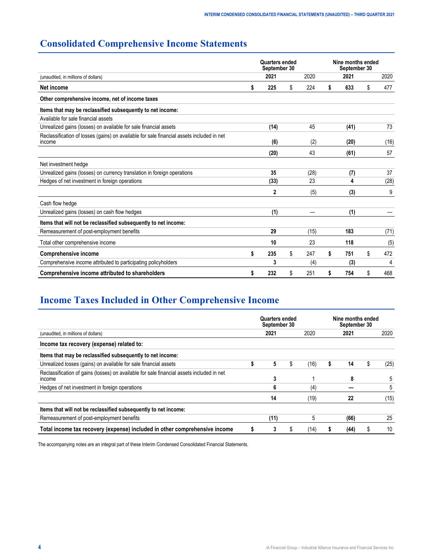## <span id="page-3-0"></span>**Consolidated Comprehensive Income Statements**

|                                                                                                     |    | Quarters ended<br>September 30 |           | Nine months ended<br>September 30 |      |    |      |  |
|-----------------------------------------------------------------------------------------------------|----|--------------------------------|-----------|-----------------------------------|------|----|------|--|
| (unaudited, in millions of dollars)                                                                 |    | 2021                           | 2020      |                                   | 2021 |    | 2020 |  |
| Net income                                                                                          |    | 225                            | \$<br>224 | S                                 | 633  | \$ | 477  |  |
| Other comprehensive income, net of income taxes                                                     |    |                                |           |                                   |      |    |      |  |
| Items that may be reclassified subsequently to net income:                                          |    |                                |           |                                   |      |    |      |  |
| Available for sale financial assets                                                                 |    |                                |           |                                   |      |    |      |  |
| Unrealized gains (losses) on available for sale financial assets                                    |    | (14)                           | 45        |                                   | (41) |    | 73   |  |
| Reclassification of losses (gains) on available for sale financial assets included in net<br>income |    | (6)                            | (2)       |                                   | (20) |    | (16) |  |
|                                                                                                     |    | (20)                           | 43        |                                   | (61) |    | 57   |  |
| Net investment hedge                                                                                |    |                                |           |                                   |      |    |      |  |
| Unrealized gains (losses) on currency translation in foreign operations                             |    | 35                             | (28)      |                                   | (7)  |    | 37   |  |
| Hedges of net investment in foreign operations                                                      |    | (33)                           | 23        |                                   | 4    |    | (28) |  |
|                                                                                                     |    | $\mathbf{2}$                   | (5)       |                                   | (3)  |    | 9    |  |
| Cash flow hedge                                                                                     |    |                                |           |                                   |      |    |      |  |
| Unrealized gains (losses) on cash flow hedges                                                       |    | (1)                            |           |                                   | (1)  |    |      |  |
| Items that will not be reclassified subsequently to net income:                                     |    |                                |           |                                   |      |    |      |  |
| Remeasurement of post-employment benefits                                                           |    | 29                             | (15)      |                                   | 183  |    | (71) |  |
| Total other comprehensive income                                                                    |    | 10                             | 23        |                                   | 118  |    | (5)  |  |
| <b>Comprehensive income</b>                                                                         | \$ | 235                            | \$<br>247 | \$                                | 751  | \$ | 472  |  |
| Comprehensive income attributed to participating policyholders                                      |    | 3                              | (4)       |                                   | (3)  |    | 4    |  |
| Comprehensive income attributed to shareholders                                                     | S  | 232                            | \$<br>251 | S                                 | 754  | \$ | 468  |  |

## **Income Taxes Included in Other Comprehensive Income**

|                                                                                                                   | Quarters ended<br>September 30 |    |      | Nine months ended<br>September 30 |   |      |  |
|-------------------------------------------------------------------------------------------------------------------|--------------------------------|----|------|-----------------------------------|---|------|--|
| (unaudited, in millions of dollars)                                                                               | 2021                           |    | 2020 | 2021                              |   | 2020 |  |
| Income tax recovery (expense) related to:                                                                         |                                |    |      |                                   |   |      |  |
| Items that may be reclassified subsequently to net income:                                                        |                                |    |      |                                   |   |      |  |
| Unrealized losses (gains) on available for sale financial assets                                                  | 5                              | S  | (16) | 14                                | S | (25) |  |
| Reclassification of gains (losses) on available for sale financial assets included in net<br><i><b>Income</b></i> | 3                              |    |      | 8                                 |   |      |  |
| Hedges of net investment in foreign operations                                                                    | 6                              |    | (4)  |                                   |   | 5    |  |
|                                                                                                                   | 14                             |    | (19) | 22                                |   | (15) |  |
| Items that will not be reclassified subsequently to net income:                                                   |                                |    |      |                                   |   |      |  |
| Remeasurement of post-employment benefits                                                                         | (11)                           |    | 5    | (66)                              |   | 25   |  |
| Total income tax recovery (expense) included in other comprehensive income                                        |                                | æ. | (14) | (44)                              | Œ | 10   |  |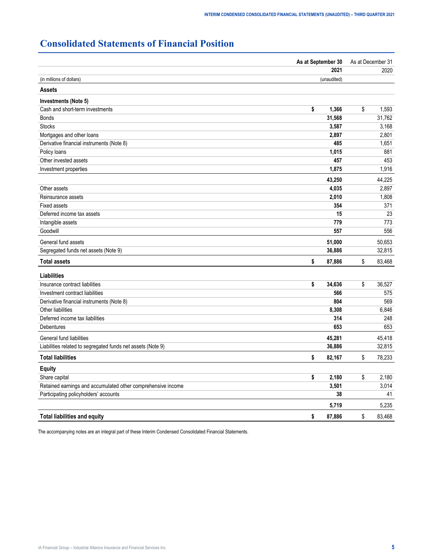# <span id="page-4-0"></span>**Consolidated Statements of Financial Position**

| As at September 30                                           |              | As at December 31 |        |  |  |
|--------------------------------------------------------------|--------------|-------------------|--------|--|--|
|                                                              | 2021         |                   | 2020   |  |  |
| (in millions of dollars)                                     | (unaudited)  |                   |        |  |  |
| <b>Assets</b>                                                |              |                   |        |  |  |
| Investments (Note 5)                                         |              |                   |        |  |  |
| Cash and short-term investments                              | \$<br>1,366  | \$                | 1,593  |  |  |
| <b>Bonds</b>                                                 | 31,568       |                   | 31,762 |  |  |
| <b>Stocks</b>                                                | 3,587        |                   | 3,168  |  |  |
| Mortgages and other loans                                    | 2,897        |                   | 2,801  |  |  |
| Derivative financial instruments (Note 8)                    | 485          |                   | 1,651  |  |  |
| Policy loans                                                 | 1,015        |                   | 881    |  |  |
| Other invested assets                                        | 457          |                   | 453    |  |  |
| Investment properties                                        | 1,875        |                   | 1,916  |  |  |
|                                                              | 43,250       |                   | 44,225 |  |  |
| Other assets                                                 | 4,035        |                   | 2,897  |  |  |
| Reinsurance assets                                           | 2,010        |                   | 1,808  |  |  |
| <b>Fixed assets</b>                                          | 354          |                   | 371    |  |  |
| Deferred income tax assets                                   | 15           |                   | 23     |  |  |
| Intangible assets                                            | 779          |                   | 773    |  |  |
| Goodwill                                                     | 557          |                   | 556    |  |  |
| General fund assets                                          | 51,000       |                   | 50,653 |  |  |
| Segregated funds net assets (Note 9)                         | 36,886       |                   | 32,815 |  |  |
| <b>Total assets</b>                                          | \$<br>87,886 | \$                | 83,468 |  |  |
| <b>Liabilities</b>                                           |              |                   |        |  |  |
| Insurance contract liabilities                               | \$<br>34,636 | \$                | 36,527 |  |  |
| Investment contract liabilities                              | 566          |                   | 575    |  |  |
| Derivative financial instruments (Note 8)                    | 804          |                   | 569    |  |  |
| Other liabilities                                            | 8,308        |                   | 6,846  |  |  |
| Deferred income tax liabilities                              | 314          |                   | 248    |  |  |
| Debentures                                                   | 653          |                   | 653    |  |  |
| General fund liabilities                                     | 45,281       |                   | 45,418 |  |  |
| Liabilities related to segregated funds net assets (Note 9)  | 36,886       |                   | 32,815 |  |  |
| <b>Total liabilities</b>                                     | \$<br>82,167 | \$                | 78,233 |  |  |
| <b>Equity</b>                                                |              |                   |        |  |  |
| Share capital                                                | \$<br>2,180  | \$                | 2,180  |  |  |
| Retained earnings and accumulated other comprehensive income | 3,501        |                   | 3,014  |  |  |
| Participating policyholders' accounts                        | 38           |                   | 41     |  |  |
|                                                              | 5,719        |                   | 5,235  |  |  |
| <b>Total liabilities and equity</b>                          | \$<br>87,886 | \$                | 83,468 |  |  |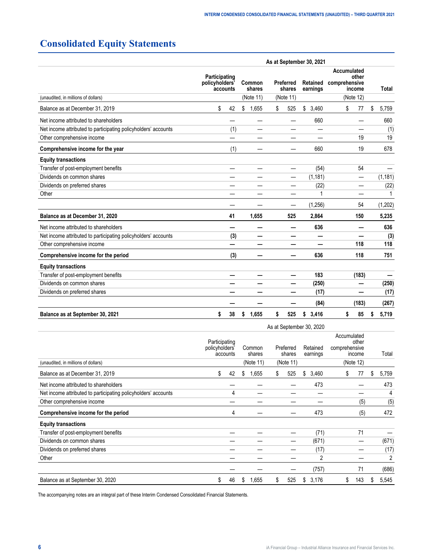# <span id="page-5-0"></span>**Consolidated Equity Statements**

|                                                                |                                 |          |                               |                                  | As at September 30, 2021    |                                                              |             |
|----------------------------------------------------------------|---------------------------------|----------|-------------------------------|----------------------------------|-----------------------------|--------------------------------------------------------------|-------------|
|                                                                | Participating<br>policyholders' | accounts | Common<br>shares<br>(Note 11) | Preferred<br>shares<br>(Note 11) | Retained<br>earnings        | Accumulated<br>other<br>comprehensive<br>income<br>(Note 12) | Total       |
| (unaudited, in millions of dollars)                            |                                 |          |                               |                                  |                             |                                                              |             |
| Balance as at December 31, 2019                                | \$                              | 42       | \$<br>1,655                   | \$<br>525                        | \$<br>3,460                 | \$<br>77                                                     | \$<br>5,759 |
| Net income attributed to shareholders                          |                                 |          |                               |                                  | 660                         |                                                              | 660         |
| Net income attributed to participating policyholders' accounts |                                 | (1)      |                               |                                  |                             |                                                              | (1)         |
| Other comprehensive income                                     |                                 |          |                               |                                  |                             | 19                                                           | 19          |
| Comprehensive income for the year                              |                                 | (1)      |                               |                                  | 660                         | 19                                                           | 678         |
| <b>Equity transactions</b>                                     |                                 |          |                               |                                  |                             |                                                              |             |
| Transfer of post-employment benefits                           |                                 |          |                               |                                  | (54)                        | 54                                                           |             |
| Dividends on common shares                                     |                                 |          |                               |                                  | (1, 181)                    | —                                                            | (1, 181)    |
| Dividends on preferred shares                                  |                                 |          |                               |                                  | (22)                        |                                                              | (22)        |
| Other                                                          |                                 |          |                               |                                  | 1                           |                                                              |             |
|                                                                |                                 |          |                               |                                  | (1,256)                     | 54                                                           | (1,202)     |
| Balance as at December 31, 2020                                |                                 | 41       | 1,655                         | 525                              | 2,864                       | 150                                                          | 5,235       |
| Net income attributed to shareholders                          |                                 |          |                               |                                  | 636                         |                                                              | 636         |
| Net income attributed to participating policyholders' accounts |                                 | (3)      |                               |                                  |                             |                                                              | (3)         |
| Other comprehensive income                                     |                                 |          |                               |                                  |                             | 118                                                          | 118         |
| Comprehensive income for the period                            |                                 | (3)      |                               |                                  | 636                         | 118                                                          | 751         |
| <b>Equity transactions</b>                                     |                                 |          |                               |                                  |                             |                                                              |             |
| Transfer of post-employment benefits                           |                                 |          |                               |                                  | 183                         | (183)                                                        |             |
| Dividends on common shares                                     |                                 |          |                               |                                  | (250)                       |                                                              | (250)       |
| Dividends on preferred shares                                  |                                 |          |                               |                                  | (17)                        |                                                              | (17)        |
|                                                                |                                 |          |                               |                                  | (84)                        | (183)                                                        | (267)       |
| Balance as at September 30, 2021                               | \$                              | 38       | \$<br>1,655                   | \$<br>525                        | 3,416<br>$\pmb{\mathsf{s}}$ | \$<br>85                                                     | \$<br>5,719 |

|                                                                |                                 |          |   |                  |    |                     |    | As at September 30, 2020 |               |    |                                                                 |   |       |
|----------------------------------------------------------------|---------------------------------|----------|---|------------------|----|---------------------|----|--------------------------|---------------|----|-----------------------------------------------------------------|---|-------|
|                                                                | Participating<br>policyholders' | accounts |   | Common<br>shares |    | Preferred<br>shares |    | Retained<br>earnings     | comprehensive |    | Accumulated<br>other<br>income<br>(Note 12)<br>77<br>(5)<br>(5) |   | Total |
| (unaudited, in millions of dollars)                            |                                 |          |   | (Note 11)        |    | (Note 11)           |    |                          |               |    |                                                                 |   |       |
| Balance as at December 31, 2019                                | \$                              | 42       | S | 1,655            | S  | 525                 | \$ | 3,460                    |               | S  |                                                                 | S | 5,759 |
| Net income attributed to shareholders                          |                                 |          |   |                  |    |                     |    | 473                      |               |    |                                                                 |   | 473   |
| Net income attributed to participating policyholders' accounts |                                 | 4        |   |                  |    |                     |    |                          |               |    |                                                                 |   | 4     |
| Other comprehensive income                                     |                                 |          |   |                  |    |                     |    |                          |               |    |                                                                 |   | (5)   |
| Comprehensive income for the period                            |                                 | 4        |   |                  |    |                     |    | 473                      |               |    |                                                                 |   | 472   |
| <b>Equity transactions</b>                                     |                                 |          |   |                  |    |                     |    |                          |               |    |                                                                 |   |       |
| Transfer of post-employment benefits                           |                                 |          |   |                  |    |                     |    | (71)                     |               |    | 71                                                              |   |       |
| Dividends on common shares                                     |                                 |          |   |                  |    |                     |    | (671)                    |               |    |                                                                 |   | (671) |
| Dividends on preferred shares                                  |                                 |          |   |                  |    |                     |    | (17)                     |               |    |                                                                 |   | (17)  |
| Other                                                          |                                 |          |   |                  |    |                     |    | 2                        |               |    |                                                                 |   | 2     |
|                                                                |                                 |          |   |                  |    |                     |    | (757)                    |               |    | 71                                                              |   | (686) |
| Balance as at September 30, 2020                               | \$                              | 46       | S | 1,655            | \$ | 525                 | S  | 3,176                    |               | \$ | 143                                                             | S | 5,545 |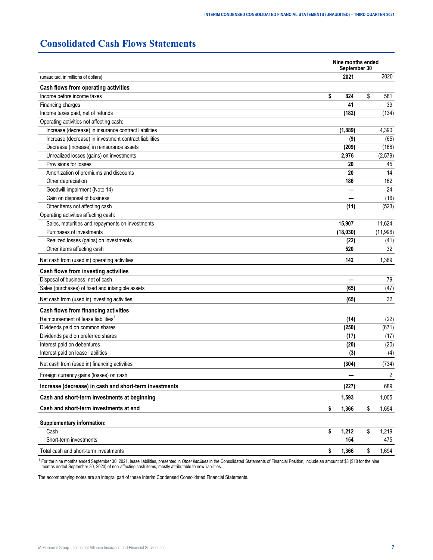## <span id="page-6-0"></span>**Consolidated Cash Flows Statements**

|                                                        | Nine months ended<br>September 30 |             |
|--------------------------------------------------------|-----------------------------------|-------------|
| (unaudited, in millions of dollars)                    | 2021                              | 2020        |
| Cash flows from operating activities                   |                                   |             |
| Income before income taxes                             | \$<br>824                         | \$<br>581   |
| Financing charges                                      | 41                                | 39          |
| Income taxes paid, net of refunds                      | (182)                             | (134)       |
| Operating activities not affecting cash:               |                                   |             |
| Increase (decrease) in insurance contract liabilities  | (1,889)                           | 4,390       |
| Increase (decrease) in investment contract liabilities | (9)                               | (65)        |
| Decrease (increase) in reinsurance assets              | (209)                             | (168)       |
| Unrealized losses (gains) on investments               | 2,976                             | (2,579)     |
| Provisions for losses                                  | 20                                | 45          |
| Amortization of premiums and discounts                 | 20                                | 14          |
| Other depreciation                                     | 186                               | 162         |
| Goodwill impairment (Note 14)                          |                                   | 24          |
| Gain on disposal of business                           |                                   | (16)        |
| Other items not affecting cash                         | (11)                              | (523)       |
| Operating activities affecting cash:                   |                                   |             |
| Sales, maturities and repayments on investments        | 15,907                            | 11,624      |
| Purchases of investments                               | (18,030)                          | (11,996)    |
| Realized losses (gains) on investments                 | (22)                              | (41)        |
| Other items affecting cash                             | 520                               | 32          |
| Net cash from (used in) operating activities           | 142                               | 1,389       |
| Cash flows from investing activities                   |                                   |             |
| Disposal of business, net of cash                      |                                   | 79          |
| Sales (purchases) of fixed and intangible assets       | (65)                              | (47)        |
| Net cash from (used in) investing activities           | (65)                              | 32          |
| Cash flows from financing activities                   |                                   |             |
| Reimbursement of lease liabilities <sup>1</sup>        | (14)                              | (22)        |
| Dividends paid on common shares                        | (250)                             | (671)       |
| Dividends paid on preferred shares                     | (17)                              | (17)        |
| Interest paid on debentures                            | (20)                              | (20)        |
| Interest paid on lease liabilities                     | (3)                               | (4)         |
| Net cash from (used in) financing activities           | (304)                             | (734)       |
| Foreign currency gains (losses) on cash                |                                   | 2           |
| Increase (decrease) in cash and short-term investments | (227)                             | 689         |
| Cash and short-term investments at beginning           | 1,593                             | 1,005       |
| Cash and short-term investments at end                 | 1,366<br>\$                       | \$<br>1,694 |
| Supplementary information:                             |                                   |             |
| Cash                                                   | \$<br>1,212                       | \$<br>1,219 |
| Short-term investments                                 | 154                               | 475         |
| Total cash and short-term investments                  | 1,366<br>\$                       | \$<br>1,694 |

<sup>1</sup> For the nine months ended September 30, 2021, lease liabilities, presented in Other liabilities in the Consolidated Statements of Financial Position, include an amount of \$3 (\$18 for the nine<br>months ended September 30,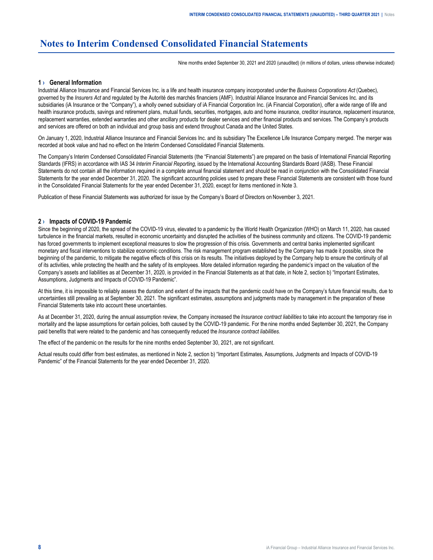## <span id="page-7-0"></span>**Notes to Interim Condensed Consolidated Financial Statements**

Nine months ended September 30, 2021 and 2020 (unaudited) (in millions of dollars, unless otherwise indicated)

#### **1 › General Information**

Industrial Alliance Insurance and Financial Services Inc. is a life and health insurance company incorporated under the *Business Corporations Act* (Quebec), governed by the *Insurers Act* and regulated by the Autorité des marchés financiers (AMF). Industrial Alliance Insurance and Financial Services Inc. and its subsidiaries (iA Insurance or the "Company"), a wholly owned subsidiary of iA Financial Corporation Inc. (iA Financial Corporation), offer a wide range of life and health insurance products, savings and retirement plans, mutual funds, securities, mortgages, auto and home insurance, creditor insurance, replacement insurance, replacement warranties, extended warranties and other ancillary products for dealer services and other financial products and services. The Company's products and services are offered on both an individual and group basis and extend throughout Canada and the United States.

On January 1, 2020, Industrial Alliance Insurance and Financial Services Inc. and its subsidiary The Excellence Life Insurance Company merged. The merger was recorded at book value and had no effect on the Interim Condensed Consolidated Financial Statements.

The Company's Interim Condensed Consolidated Financial Statements (the "Financial Statements") are prepared on the basis of International Financial Reporting Standards (IFRS) in accordance with IAS 34 *Interim Financial Reporting*, issued by the International Accounting Standards Board (IASB). These Financial Statements do not contain all the information required in a complete annual financial statement and should be read in conjunction with the Consolidated Financial Statements for the year ended December 31, 2020. The significant accounting policies used to prepare these Financial Statements are consistent with those found in the Consolidated Financial Statements for the year ended December 31, 2020, except for items mentioned in Note 3.

Publication of these Financial Statements was authorized for issue by the Company's Board of Directors on November 3, 2021.

#### **2 › Impacts of COVID-19 Pandemic**

Since the beginning of 2020, the spread of the COVID-19 virus, elevated to a pandemic by the World Health Organization (WHO) on March 11, 2020, has caused turbulence in the financial markets, resulted in economic uncertainty and disrupted the activities of the business community and citizens. The COVID-19 pandemic has forced governments to implement exceptional measures to slow the progression of this crisis. Governments and central banks implemented significant monetary and fiscal interventions to stabilize economic conditions. The risk management program established by the Company has made it possible, since the beginning of the pandemic, to mitigate the negative effects of this crisis on its results. The initiatives deployed by the Company help to ensure the continuity of all of its activities, while protecting the health and the safety of its employees. More detailed information regarding the pandemic's impact on the valuation of the Company's assets and liabilities as at December 31, 2020, is provided in the Financial Statements as at that date, in Note 2, section b) "Important Estimates, Assumptions, Judgments and Impacts of COVID-19 Pandemic".

At this time, it is impossible to reliably assess the duration and extent of the impacts that the pandemic could have on the Company's future financial results, due to uncertainties still prevailing as at September 30, 2021. The significant estimates, assumptions and judgments made by management in the preparation of these Financial Statements take into account these uncertainties.

As at December 31, 2020, during the annual assumption review, the Company increased the *Insurance contract liabilities* to take into account the temporary rise in mortality and the lapse assumptions for certain policies, both caused by the COVID-19 pandemic. For the nine months ended September 30, 2021, the Company paid benefits that were related to the pandemic and has consequently reduced the *Insurance contract liabilities*.

The effect of the pandemic on the results for the nine months ended September 30, 2021, are not significant.

Actual results could differ from best estimates, as mentioned in Note 2, section b) "Important Estimates, Assumptions, Judgments and Impacts of COVID-19 Pandemic" of the Financial Statements for the year ended December 31, 2020.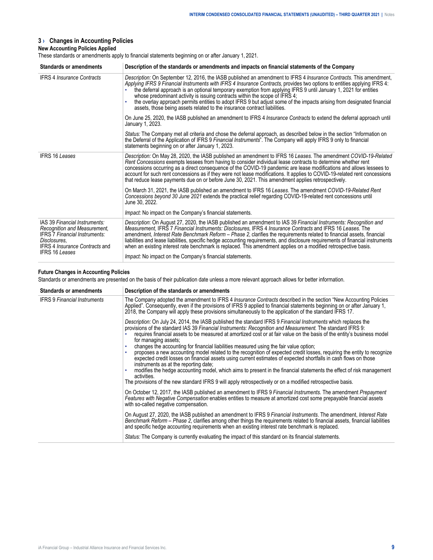#### <span id="page-8-0"></span>**3 › Changes in Accounting Policies**

#### **New Accounting Policies Applied**

These standards or amendments apply to financial statements beginning on or after January 1, 2021.

| <b>Standards or amendments</b>                                                                                                                                                          | Description of the standards or amendments and impacts on financial statements of the Company                                                                                                                                                                                                                                                                                                                                                                                                                                                                                                                                                            |  |  |  |  |  |  |  |
|-----------------------------------------------------------------------------------------------------------------------------------------------------------------------------------------|----------------------------------------------------------------------------------------------------------------------------------------------------------------------------------------------------------------------------------------------------------------------------------------------------------------------------------------------------------------------------------------------------------------------------------------------------------------------------------------------------------------------------------------------------------------------------------------------------------------------------------------------------------|--|--|--|--|--|--|--|
| <b>IFRS 4 Insurance Contracts</b>                                                                                                                                                       | Description: On September 12, 2016, the IASB published an amendment to IFRS 4 Insurance Contracts. This amendment,<br>Applying IFRS 9 Financial Instruments with IFRS 4 Insurance Contracts, provides two options to entities applying IFRS 4:<br>the deferral approach is an optional temporary exemption from applying IFRS 9 until January 1, 2021 for entities<br>whose predominant activity is issuing contracts within the scope of IFRS 4;<br>the overlay approach permits entities to adopt IFRS 9 but adjust some of the impacts arising from designated financial<br>assets, those being assets related to the insurance contract liabilities. |  |  |  |  |  |  |  |
|                                                                                                                                                                                         | On June 25, 2020, the IASB published an amendment to IFRS 4 <i>Insurance Contracts</i> to extend the deferral approach until<br>January 1, 2023.                                                                                                                                                                                                                                                                                                                                                                                                                                                                                                         |  |  |  |  |  |  |  |
|                                                                                                                                                                                         | Status: The Company met all criteria and chose the deferral approach, as described below in the section "Information on<br>the Deferral of the Application of IFRS 9 Financial Instruments". The Company will apply IFRS 9 only to financial<br>statements beginning on or after January 1, 2023.                                                                                                                                                                                                                                                                                                                                                        |  |  |  |  |  |  |  |
| <b>IFRS 16 Leases</b>                                                                                                                                                                   | Description: On May 28, 2020, the IASB published an amendment to IFRS 16 Leases. The amendment COVID-19-Related<br>Rent Concessions exempts lessees from having to consider individual lease contracts to determine whether rent<br>concessions occurring as a direct consequence of the COVID-19 pandemic are lease modifications and allows lessees to<br>account for such rent concessions as if they were not lease modifications. It applies to COVID-19-related rent concessions<br>that reduce lease payments due on or before June 30, 2021. This amendment applies retrospectively.                                                             |  |  |  |  |  |  |  |
|                                                                                                                                                                                         | On March 31, 2021, the IASB published an amendment to IFRS 16 Leases. The amendment COVID-19-Related Rent<br>Concessions beyond 30 June 2021 extends the practical relief regarding COVID-19-related rent concessions until<br>June 30, 2022.                                                                                                                                                                                                                                                                                                                                                                                                            |  |  |  |  |  |  |  |
|                                                                                                                                                                                         | <i>Impact:</i> No impact on the Company's financial statements.                                                                                                                                                                                                                                                                                                                                                                                                                                                                                                                                                                                          |  |  |  |  |  |  |  |
| IAS 39 Financial Instruments:<br>Recognition and Measurement,<br><b>IFRS 7 Financial Instruments:</b><br>Disclosures,<br><b>IFRS 4 Insurance Contracts and</b><br><b>IFRS 16 Leases</b> | Description: On August 27, 2020, the IASB published an amendment to IAS 39 Financial Instruments: Recognition and<br>Measurement, IFRS 7 Financial Instruments: Disclosures, IFRS 4 Insurance Contracts and IFRS 16 Leases. The<br>amendment, Interest Rate Benchmark Reform - Phase 2, clarifies the requirements related to financial assets, financial<br>liabilities and lease liabilities, specific hedge accounting requirements, and disclosure requirements of financial instruments<br>when an existing interest rate benchmark is replaced. This amendment applies on a modified retrospective basis.                                          |  |  |  |  |  |  |  |
|                                                                                                                                                                                         | Impact: No impact on the Company's financial statements.                                                                                                                                                                                                                                                                                                                                                                                                                                                                                                                                                                                                 |  |  |  |  |  |  |  |

#### **Future Changes in Accounting Policies**

Standards or amendments are presented on the basis of their publication date unless a more relevant approach allows for better information.

| <b>Standards or amendments</b>      | Description of the standards or amendments                                                                                                                                                                                                                                                                                                                                                                                                                                                                                                                                                                                                                                                                                                                                                                                                                                                                                                                                                                             |
|-------------------------------------|------------------------------------------------------------------------------------------------------------------------------------------------------------------------------------------------------------------------------------------------------------------------------------------------------------------------------------------------------------------------------------------------------------------------------------------------------------------------------------------------------------------------------------------------------------------------------------------------------------------------------------------------------------------------------------------------------------------------------------------------------------------------------------------------------------------------------------------------------------------------------------------------------------------------------------------------------------------------------------------------------------------------|
| <b>IFRS 9 Financial Instruments</b> | The Company adopted the amendment to IFRS 4 Insurance Contracts described in the section "New Accounting Policies<br>Applied". Consequently, even if the provisions of IFRS 9 applied to financial statements beginning on or after January 1,<br>2018, the Company will apply these provisions simultaneously to the application of the standard IFRS 17.                                                                                                                                                                                                                                                                                                                                                                                                                                                                                                                                                                                                                                                             |
|                                     | Description: On July 24, 2014, the IASB published the standard IFRS 9 Financial Instruments which replaces the<br>provisions of the standard IAS 39 Financial Instruments: Recognition and Measurement. The standard IFRS 9:<br>requires financial assets to be measured at amortized cost or at fair value on the basis of the entity's business model<br>for managing assets:<br>changes the accounting for financial liabilities measured using the fair value option;<br>proposes a new accounting model related to the recognition of expected credit losses, requiring the entity to recognize<br>expected credit losses on financial assets using current estimates of expected shortfalls in cash flows on those<br>instruments as at the reporting date:<br>modifies the hedge accounting model, which aims to present in the financial statements the effect of risk management<br>activities.<br>The provisions of the new standard IFRS 9 will apply retrospectively or on a modified retrospective basis. |
|                                     | On October 12, 2017, the IASB published an amendment to IFRS 9 Financial Instruments. The amendment Prepayment<br>Features with Negative Compensation enables entities to measure at amortized cost some prepayable financial assets<br>with so-called negative compensation.                                                                                                                                                                                                                                                                                                                                                                                                                                                                                                                                                                                                                                                                                                                                          |
|                                     | On August 27, 2020, the IASB published an amendment to IFRS 9 Financial Instruments. The amendment, Interest Rate<br>Benchmark Reform – Phase 2, clarifies among other things the requirements related to financial assets, financial liabilities<br>and specific hedge accounting requirements when an existing interest rate benchmark is replaced.                                                                                                                                                                                                                                                                                                                                                                                                                                                                                                                                                                                                                                                                  |
|                                     | Status: The Company is currently evaluating the impact of this standard on its financial statements.                                                                                                                                                                                                                                                                                                                                                                                                                                                                                                                                                                                                                                                                                                                                                                                                                                                                                                                   |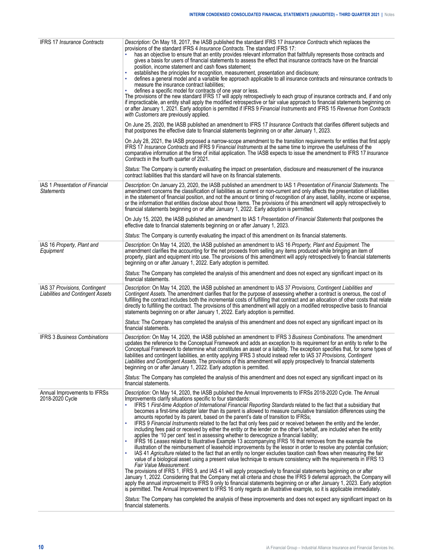| <b>IFRS 17 Insurance Contracts</b>                                        | Description: On May 18, 2017, the IASB published the standard IFRS 17 Insurance Contracts which replaces the<br>provisions of the standard IFRS 4 Insurance Contracts. The standard IFRS 17:<br>has an objective to ensure that an entity provides relevant information that faithfully represents those contracts and<br>gives a basis for users of financial statements to assess the effect that insurance contracts have on the financial<br>position, income statement and cash flows statement;<br>establishes the principles for recognition, measurement, presentation and disclosure;<br>defines a general model and a variable fee approach applicable to all insurance contracts and reinsurance contracts to<br>measure the insurance contract liabilities;<br>defines a specific model for contracts of one year or less.<br>The provisions of the new standard IFRS 17 will apply retrospectively to each group of insurance contracts and, if and only<br>if impracticable, an entity shall apply the modified retrospective or fair value approach to financial statements beginning on<br>or after January 1, 2021. Early adoption is permitted if IFRS 9 Financial Instruments and IFRS 15 Revenue from Contracts<br>with Customers are previously applied.<br>On June 25, 2020, the IASB published an amendment to IFRS 17 Insurance Contracts that clarifies different subjects and                                                                                                                                                                                                                                                                                                                                                                                                                                                                                   |
|---------------------------------------------------------------------------|-------------------------------------------------------------------------------------------------------------------------------------------------------------------------------------------------------------------------------------------------------------------------------------------------------------------------------------------------------------------------------------------------------------------------------------------------------------------------------------------------------------------------------------------------------------------------------------------------------------------------------------------------------------------------------------------------------------------------------------------------------------------------------------------------------------------------------------------------------------------------------------------------------------------------------------------------------------------------------------------------------------------------------------------------------------------------------------------------------------------------------------------------------------------------------------------------------------------------------------------------------------------------------------------------------------------------------------------------------------------------------------------------------------------------------------------------------------------------------------------------------------------------------------------------------------------------------------------------------------------------------------------------------------------------------------------------------------------------------------------------------------------------------------------------------------------------------------------------------------------------------------------|
|                                                                           | that postpones the effective date to financial statements beginning on or after January 1, 2023.<br>On July 28, 2021, the IASB proposed a narrow-scope amendment to the transition requirements for entities that first apply<br>IFRS 17 Insurance Contracts and IFRS 9 Financial Instruments at the same time to improve the usefulness of the<br>comparative information at the time of initial application. The IASB expects to issue the amendment to IFRS 17 Insurance<br>Contracts in the fourth quarter of 2021.                                                                                                                                                                                                                                                                                                                                                                                                                                                                                                                                                                                                                                                                                                                                                                                                                                                                                                                                                                                                                                                                                                                                                                                                                                                                                                                                                                   |
|                                                                           | Status: The Company is currently evaluating the impact on presentation, disclosure and measurement of the insurance<br>contract liabilities that this standard will have on its financial statements.                                                                                                                                                                                                                                                                                                                                                                                                                                                                                                                                                                                                                                                                                                                                                                                                                                                                                                                                                                                                                                                                                                                                                                                                                                                                                                                                                                                                                                                                                                                                                                                                                                                                                     |
| IAS 1 Presentation of Financial<br><b>Statements</b>                      | Description: On January 23, 2020, the IASB published an amendment to IAS 1 Presentation of Financial Statements. The<br>amendment concerns the classification of liabilities as current or non-current and only affects the presentation of liabilities<br>in the statement of financial position, and not the amount or timing of recognition of any asset, liability, income or expense,<br>or the information that entities disclose about those items. The provisions of this amendment will apply retrospectively to<br>financial statements beginning on or after January 1, 2022. Early adoption is permitted.                                                                                                                                                                                                                                                                                                                                                                                                                                                                                                                                                                                                                                                                                                                                                                                                                                                                                                                                                                                                                                                                                                                                                                                                                                                                     |
|                                                                           | On July 15, 2020, the IASB published an amendment to IAS 1 Presentation of Financial Statements that postpones the<br>effective date to financial statements beginning on or after January 1, 2023.                                                                                                                                                                                                                                                                                                                                                                                                                                                                                                                                                                                                                                                                                                                                                                                                                                                                                                                                                                                                                                                                                                                                                                                                                                                                                                                                                                                                                                                                                                                                                                                                                                                                                       |
|                                                                           | Status: The Company is currently evaluating the impact of this amendment on its financial statements.                                                                                                                                                                                                                                                                                                                                                                                                                                                                                                                                                                                                                                                                                                                                                                                                                                                                                                                                                                                                                                                                                                                                                                                                                                                                                                                                                                                                                                                                                                                                                                                                                                                                                                                                                                                     |
| IAS 16 Property, Plant and<br>Equipment                                   | Description: On May 14, 2020, the IASB published an amendment to IAS 16 Property, Plant and Equipment. The<br>amendment clarifies the accounting for the net proceeds from selling any items produced while bringing an item of<br>property, plant and equipment into use. The provisions of this amendment will apply retrospectively to financial statements<br>beginning on or after January 1, 2022. Early adoption is permitted.                                                                                                                                                                                                                                                                                                                                                                                                                                                                                                                                                                                                                                                                                                                                                                                                                                                                                                                                                                                                                                                                                                                                                                                                                                                                                                                                                                                                                                                     |
|                                                                           | Status: The Company has completed the analysis of this amendment and does not expect any significant impact on its<br>financial statements.                                                                                                                                                                                                                                                                                                                                                                                                                                                                                                                                                                                                                                                                                                                                                                                                                                                                                                                                                                                                                                                                                                                                                                                                                                                                                                                                                                                                                                                                                                                                                                                                                                                                                                                                               |
| IAS 37 Provisions, Contingent<br><b>Liabilities and Contingent Assets</b> | Description: On May 14, 2020, the IASB published an amendment to IAS 37 Provisions, Contingent Liabilities and<br>Contingent Assets. The amendment clarifies that for the purpose of assessing whether a contract is onerous, the cost of<br>fulfilling the contract includes both the incremental costs of fulfilling that contract and an allocation of other costs that relate<br>directly to fulfilling the contract. The provisions of this amendment will apply on a modified retrospective basis to financial<br>statements beginning on or after January 1, 2022. Early adoption is permitted.                                                                                                                                                                                                                                                                                                                                                                                                                                                                                                                                                                                                                                                                                                                                                                                                                                                                                                                                                                                                                                                                                                                                                                                                                                                                                    |
|                                                                           | Status: The Company has completed the analysis of this amendment and does not expect any significant impact on its<br>financial statements.                                                                                                                                                                                                                                                                                                                                                                                                                                                                                                                                                                                                                                                                                                                                                                                                                                                                                                                                                                                                                                                                                                                                                                                                                                                                                                                                                                                                                                                                                                                                                                                                                                                                                                                                               |
| <b>IFRS 3 Business Combinations</b>                                       | Description: On May 14, 2020, the IASB published an amendment to IFRS 3 Business Combinations. The amendment<br>updates the reference to the Conceptual Framework and adds an exception to its requirement for an entity to refer to the<br>Conceptual Framework to determine what constitutes an asset or a liability. The exception specifies that, for some types of<br>liabilities and contingent liabilities, an entity applying IFRS 3 should instead refer to IAS 37 Provisions, Contingent<br>Liabilities and Contingent Assets. The provisions of this amendment will apply prospectively to financial statements<br>beginning on or after January 1, 2022. Early adoption is permitted.                                                                                                                                                                                                                                                                                                                                                                                                                                                                                                                                                                                                                                                                                                                                                                                                                                                                                                                                                                                                                                                                                                                                                                                         |
|                                                                           | Status: The Company has completed the analysis of this amendment and does not expect any significant impact on its<br>financial statements.                                                                                                                                                                                                                                                                                                                                                                                                                                                                                                                                                                                                                                                                                                                                                                                                                                                                                                                                                                                                                                                                                                                                                                                                                                                                                                                                                                                                                                                                                                                                                                                                                                                                                                                                               |
| Annual Improvements to IFRSs<br>2018-2020 Cycle                           | Description: On May 14, 2020, the IASB published the Annual Improvements to IFRSs 2018-2020 Cycle. The Annual<br>Improvements clarify situations specific to four standards:<br>IFRS 1 First-time Adoption of International Financial Reporting Standards related to the fact that a subsidiary that<br>becomes a first-time adopter later than its parent is allowed to measure cumulative translation differences using the<br>amounts reported by its parent, based on the parent's date of transition to IFRSs;<br>IFRS 9 Financial Instruments related to the fact that only fees paid or received between the entity and the lender,<br>including fees paid or received by either the entity or the lender on the other's behalf, are included when the entity<br>applies the '10 per cent' test in assessing whether to derecognize a financial liability;<br>IFRS 16 Leases related to Illustrative Example 13 accompanying IFRS 16 that removes from the example the<br>illustration of the reimbursement of leasehold improvements by the lessor in order to resolve any potential confusion;<br>IAS 41 Agriculture related to the fact that an entity no longer excludes taxation cash flows when measuring the fair<br>value of a biological asset using a present value technique to ensure consistency with the requirements in IFRS 13<br>Fair Value Measurement.<br>The provisions of IFRS 1, IFRS 9, and IAS 41 will apply prospectively to financial statements beginning on or after<br>January 1, 2022. Considering that the Company met all criteria and chose the IFRS 9 deferral approach, the Company will<br>apply the annual improvement to IFRS 9 only to financial statements beginning on or after January 1, 2023. Early adoption<br>is permitted. The Annual Improvement to IFRS 16 only regards an illustrative example, so it is applicable immediately. |
|                                                                           | Status: The Company has completed the analysis of these improvements and does not expect any significant impact on its<br>financial statements.                                                                                                                                                                                                                                                                                                                                                                                                                                                                                                                                                                                                                                                                                                                                                                                                                                                                                                                                                                                                                                                                                                                                                                                                                                                                                                                                                                                                                                                                                                                                                                                                                                                                                                                                           |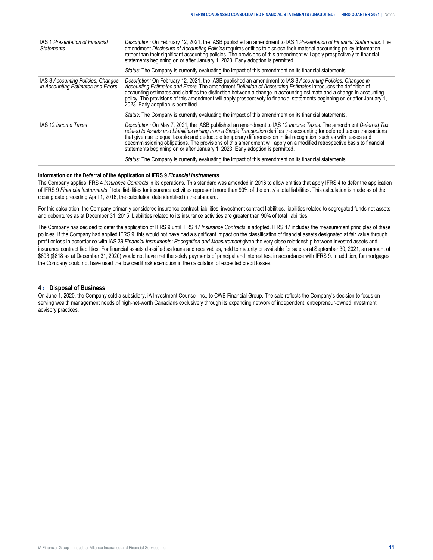<span id="page-10-0"></span>

| IAS 1 Presentation of Financial<br><b>Statements</b>                     | Description: On February 12, 2021, the IASB published an amendment to IAS 1 Presentation of Financial Statements. The<br>amendment Disclosure of Accounting Policies requires entities to disclose their material accounting policy information<br>rather than their significant accounting policies. The provisions of this amendment will apply prospectively to financial<br>statements beginning on or after January 1, 2023. Early adoption is permitted.<br>Status: The Company is currently evaluating the impact of this amendment on its financial statements.                                                                                                                        |
|--------------------------------------------------------------------------|------------------------------------------------------------------------------------------------------------------------------------------------------------------------------------------------------------------------------------------------------------------------------------------------------------------------------------------------------------------------------------------------------------------------------------------------------------------------------------------------------------------------------------------------------------------------------------------------------------------------------------------------------------------------------------------------|
| IAS 8 Accounting Policies, Changes<br>in Accounting Estimates and Errors | Description: On February 12, 2021, the IASB published an amendment to IAS 8 Accounting Policies, Changes in<br>Accounting Estimates and Errors. The amendment Definition of Accounting Estimates introduces the definition of<br>accounting estimates and clarifies the distinction between a change in accounting estimate and a change in accounting<br>policy. The provisions of this amendment will apply prospectively to financial statements beginning on or after January 1,<br>2023. Early adoption is permitted.<br>Status: The Company is currently evaluating the impact of this amendment on its financial statements.                                                            |
| IAS 12 Income Taxes                                                      | Description: On May 7, 2021, the IASB published an amendment to IAS 12 Income Taxes. The amendment Deferred Tax<br>related to Assets and Liabilities arising from a Single Transaction clarifies the accounting for deferred tax on transactions<br>that give rise to equal taxable and deductible temporary differences on initial recognition, such as with leases and<br>decommissioning obligations. The provisions of this amendment will apply on a modified retrospective basis to financial<br>statements beginning on or after January 1, 2023. Early adoption is permitted.<br>Status: The Company is currently evaluating the impact of this amendment on its financial statements. |

#### **Information on the Deferral of the Application of IFRS 9** *Financial Instruments*

The Company applies IFRS 4 *Insurance Contracts* in its operations. This standard was amended in 2016 to allow entities that apply IFRS 4 to defer the application of IFRS 9 *Financial Instruments* if total liabilities for insurance activities represent more than 90% of the entity's total liabilities. This calculation is made as of the closing date preceding April 1, 2016, the calculation date identified in the standard.

For this calculation, the Company primarily considered insurance contract liabilities, investment contract liabilities, liabilities related to segregated funds net assets and debentures as at December 31, 2015. Liabilities related to its insurance activities are greater than 90% of total liabilities.

The Company has decided to defer the application of IFRS 9 until IFRS 17 *Insurance Contracts* is adopted. IFRS 17 includes the measurement principles of these policies. If the Company had applied IFRS 9, this would not have had a significant impact on the classification of financial assets designated at fair value through profit or loss in accordance with IAS 39 *Financial Instruments: Recognition and Measurement* given the very close relationship between invested assets and insurance contract liabilities. For financial assets classified as loans and receivables, held to maturity or available for sale as at September 30, 2021, an amount of \$693 (\$818 as at December 31, 2020) would not have met the solely payments of principal and interest test in accordance with IFRS 9. In addition, for mortgages, the Company could not have used the low credit risk exemption in the calculation of expected credit losses.

#### **4 › Disposal of Business**

On June 1, 2020, the Company sold a subsidiary, iA Investment Counsel Inc., to CWB Financial Group. The sale reflects the Company's decision to focus on serving wealth management needs of high-net-worth Canadians exclusively through its expanding network of independent, entrepreneur-owned investment advisory practices.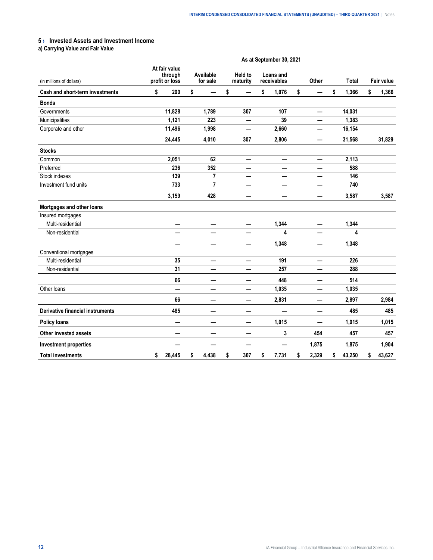#### <span id="page-11-0"></span>**5 › Invested Assets and Investment Income**

**a) Carrying Value and Fair Value**

|                                  | As at September 30, 2021                   |                          |                       |                |    |                     |    |                          |    |       |    |              |    |            |
|----------------------------------|--------------------------------------------|--------------------------|-----------------------|----------------|----|---------------------|----|--------------------------|----|-------|----|--------------|----|------------|
| (in millions of dollars)         | At fair value<br>through<br>profit or loss |                          | Available<br>for sale |                |    | Held to<br>maturity |    | Loans and<br>receivables |    | Other |    | <b>Total</b> |    | Fair value |
| Cash and short-term investments  | \$                                         | 290                      | \$                    |                | \$ |                     | \$ | 1,076                    | \$ |       | \$ | 1,366        | \$ | 1,366      |
| <b>Bonds</b>                     |                                            |                          |                       |                |    |                     |    |                          |    |       |    |              |    |            |
| Governments                      |                                            | 11,828                   |                       | 1,789          |    | 307                 |    | 107                      |    |       |    | 14,031       |    |            |
| Municipalities                   |                                            | 1,121                    |                       | 223            |    | —                   |    | 39                       |    |       |    | 1,383        |    |            |
| Corporate and other              |                                            | 11,496                   |                       | 1,998          |    | —                   |    | 2,660                    |    |       |    | 16,154       |    |            |
|                                  |                                            | 24,445                   |                       | 4,010          |    | 307                 |    | 2,806                    |    | —     |    | 31,568       |    | 31,829     |
| <b>Stocks</b>                    |                                            |                          |                       |                |    |                     |    |                          |    |       |    |              |    |            |
| Common                           |                                            | 2,051                    |                       | 62             |    | —                   |    | —                        |    |       |    | 2,113        |    |            |
| Preferred                        |                                            | 236                      |                       | 352            |    |                     |    |                          |    |       |    | 588          |    |            |
| Stock indexes                    |                                            | 139                      |                       | $\overline{7}$ |    |                     |    |                          |    |       |    | 146          |    |            |
| Investment fund units            |                                            | 733                      |                       | 7              |    |                     |    |                          |    |       |    | 740          |    |            |
|                                  |                                            | 3,159                    |                       | 428            |    |                     |    |                          |    |       |    | 3,587        |    | 3,587      |
| Mortgages and other loans        |                                            |                          |                       |                |    |                     |    |                          |    |       |    |              |    |            |
| Insured mortgages                |                                            |                          |                       |                |    |                     |    |                          |    |       |    |              |    |            |
| Multi-residential                |                                            | $\overline{\phantom{0}}$ |                       | —              |    | —                   |    | 1,344                    |    | —     |    | 1,344        |    |            |
| Non-residential                  |                                            |                          |                       |                |    |                     |    | 4                        |    |       |    | 4            |    |            |
|                                  |                                            | —                        |                       | —              |    | —                   |    | 1,348                    |    | —     |    | 1,348        |    |            |
| Conventional mortgages           |                                            |                          |                       |                |    |                     |    |                          |    |       |    |              |    |            |
| Multi-residential                |                                            | 35                       |                       | —              |    | —                   |    | 191                      |    | —     |    | 226          |    |            |
| Non-residential                  |                                            | 31                       |                       |                |    |                     |    | 257                      |    |       |    | 288          |    |            |
|                                  |                                            | 66                       |                       | —              |    | —                   |    | 448                      |    |       |    | 514          |    |            |
| Other loans                      |                                            | —                        |                       |                |    | —                   |    | 1,035                    |    |       |    | 1,035        |    |            |
|                                  |                                            | 66                       |                       | —              |    | —                   |    | 2,831                    |    | —     |    | 2,897        |    | 2,984      |
| Derivative financial instruments |                                            | 485                      |                       |                |    |                     |    |                          |    |       |    | 485          |    | 485        |
| <b>Policy loans</b>              |                                            |                          |                       | —              |    | —                   |    | 1,015                    |    | —     |    | 1,015        |    | 1,015      |
| <b>Other invested assets</b>     |                                            | –                        |                       | -              |    | —<br>——             |    | 3                        |    | 454   |    | 457          |    | 457        |
| <b>Investment properties</b>     |                                            |                          |                       | —              |    | —                   |    |                          |    | 1,875 |    | 1,875        |    | 1,904      |
| <b>Total investments</b>         | \$                                         | 28,445                   | \$                    | 4,438          | \$ | 307                 | \$ | 7,731                    | \$ | 2,329 | \$ | 43,250       | \$ | 43,627     |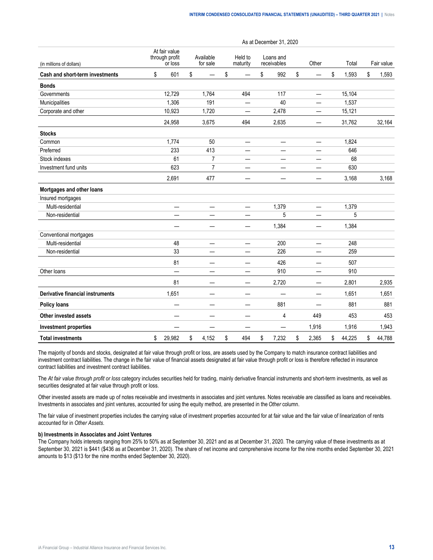|                                         | As at December 31, 2020 |                                            |    |                          |    |                          |    |                          |    |                          |    |        |    |            |
|-----------------------------------------|-------------------------|--------------------------------------------|----|--------------------------|----|--------------------------|----|--------------------------|----|--------------------------|----|--------|----|------------|
| (in millions of dollars)                |                         | At fair value<br>through profit<br>or loss |    | Available<br>for sale    |    | Held to<br>maturity      |    | Loans and<br>receivables |    | Other                    |    | Total  |    | Fair value |
| Cash and short-term investments         | \$                      | 601                                        | \$ |                          | \$ |                          | \$ | 992                      | \$ |                          | \$ | 1,593  | \$ | 1,593      |
| <b>Bonds</b>                            |                         |                                            |    |                          |    |                          |    |                          |    |                          |    |        |    |            |
| Governments                             |                         | 12,729                                     |    | 1,764                    |    | 494                      |    | 117                      |    |                          |    | 15,104 |    |            |
| Municipalities                          |                         | 1,306                                      |    | 191                      |    | $\overline{\phantom{0}}$ |    | 40                       |    |                          |    | 1,537  |    |            |
| Corporate and other                     |                         | 10,923                                     |    | 1,720                    |    |                          |    | 2,478                    |    |                          |    | 15,121 |    |            |
|                                         |                         | 24,958                                     |    | 3,675                    |    | 494                      |    | 2,635                    |    |                          |    | 31,762 |    | 32,164     |
| <b>Stocks</b>                           |                         |                                            |    |                          |    |                          |    |                          |    |                          |    |        |    |            |
| Common                                  |                         | 1,774                                      |    | 50                       |    | —                        |    | $\overline{\phantom{0}}$ |    |                          |    | 1,824  |    |            |
| Preferred                               |                         | 233                                        |    | 413                      |    |                          |    |                          |    |                          |    | 646    |    |            |
| Stock indexes                           |                         | 61                                         |    | $\overline{7}$           |    |                          |    |                          |    |                          |    | 68     |    |            |
| Investment fund units                   |                         | 623                                        |    | 7                        |    | —                        |    | $\qquad \qquad$          |    |                          |    | 630    |    |            |
|                                         |                         | 2,691                                      |    | 477                      |    | —                        |    |                          |    |                          |    | 3,168  |    | 3,168      |
| Mortgages and other loans               |                         |                                            |    |                          |    |                          |    |                          |    |                          |    |        |    |            |
| Insured mortgages                       |                         |                                            |    |                          |    |                          |    |                          |    |                          |    |        |    |            |
| Multi-residential                       |                         | —                                          |    | $\overline{\phantom{0}}$ |    | $\overline{\phantom{0}}$ |    | 1,379                    |    | —                        |    | 1,379  |    |            |
| Non-residential                         |                         |                                            |    |                          |    |                          |    | 5                        |    |                          |    | 5      |    |            |
|                                         |                         |                                            |    | —                        |    |                          |    | 1,384                    |    | —                        |    | 1,384  |    |            |
| Conventional mortgages                  |                         |                                            |    |                          |    |                          |    |                          |    |                          |    |        |    |            |
| Multi-residential                       |                         | 48                                         |    | —                        |    | —                        |    | 200                      |    | $\overline{\phantom{0}}$ |    | 248    |    |            |
| Non-residential                         |                         | 33                                         |    |                          |    |                          |    | 226                      |    |                          |    | 259    |    |            |
|                                         |                         | 81                                         |    | —                        |    | $\qquad \qquad$          |    | 426                      |    |                          |    | 507    |    |            |
| Other loans                             |                         |                                            |    |                          |    |                          |    | 910                      |    |                          |    | 910    |    |            |
|                                         |                         | 81                                         |    | —                        |    | $\overline{\phantom{m}}$ |    | 2,720                    |    | —                        |    | 2,801  |    | 2,935      |
| <b>Derivative financial instruments</b> |                         | 1,651                                      |    | —                        |    |                          |    |                          |    | —                        |    | 1,651  |    | 1,651      |
| <b>Policy loans</b>                     |                         |                                            |    |                          |    |                          |    | 881                      |    |                          |    | 881    |    | 881        |
| Other invested assets                   |                         |                                            |    | $\overline{\phantom{0}}$ |    | $\overline{\phantom{0}}$ |    | 4                        |    | 449                      |    | 453    |    | 453        |
| <b>Investment properties</b>            |                         |                                            |    | —                        |    |                          |    |                          |    | 1,916                    |    | 1,916  |    | 1,943      |
| <b>Total investments</b>                | \$                      | 29,982                                     | \$ | 4,152                    | \$ | 494                      | \$ | 7,232                    | \$ | 2,365                    | \$ | 44,225 | \$ | 44,788     |

The majority of bonds and stocks, designated at fair value through profit or loss, are assets used by the Company to match insurance contract liabilities and investment contract liabilities. The change in the fair value of financial assets designated at fair value through profit or loss is therefore reflected in insurance contract liabilities and investment contract liabilities.

The *At fair value through profit or loss* category includes securities held for trading, mainly derivative financial instruments and short-term investments, as well as securities designated at fair value through profit or loss.

Other invested assets are made up of notes receivable and investments in associates and joint ventures. Notes receivable are classified as loans and receivables. Investments in associates and joint ventures, accounted for using the equity method, are presented in the *Other* column.

The fair value of investment properties includes the carrying value of investment properties accounted for at fair value and the fair value of linearization of rents accounted for in *Other Assets*.

#### **b) Investments in Associates and Joint Ventures**

The Company holds interests ranging from 25% to 50% as at September 30, 2021 and as at December 31, 2020. The carrying value of these investments as at September 30, 2021 is \$441 (\$436 as at December 31, 2020). The share of net income and comprehensive income for the nine months ended September 30, 2021 amounts to \$13 (\$13 for the nine months ended September 30, 2020).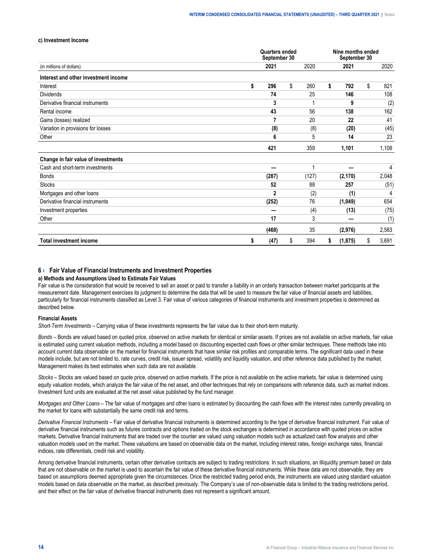#### <span id="page-13-0"></span>**c) Investment Income**

|                                      |    | <b>Quarters ended</b><br>September 30 |           | Nine months ended<br>September 30 |          |             |
|--------------------------------------|----|---------------------------------------|-----------|-----------------------------------|----------|-------------|
| (in millions of dollars)             |    | 2021                                  | 2020      |                                   | 2021     | 2020        |
| Interest and other investment income |    |                                       |           |                                   |          |             |
| Interest                             | \$ | 296                                   | \$<br>260 | \$                                | 792      | \$<br>821   |
| <b>Dividends</b>                     |    | 74                                    | 25        |                                   | 146      | 108         |
| Derivative financial instruments     |    | 3                                     |           |                                   | 9        | (2)         |
| Rental income                        |    | 43                                    | 56        |                                   | 138      | 162         |
| Gains (losses) realized              |    | 7                                     | 20        |                                   | 22       | 41          |
| Variation in provisions for losses   |    | (8)                                   | (8)       |                                   | (20)     | (45)        |
| Other                                |    | 6                                     | 5         |                                   | 14       | 23          |
|                                      |    | 421                                   | 359       |                                   | 1,101    | 1,108       |
| Change in fair value of investments  |    |                                       |           |                                   |          |             |
| Cash and short-term investments      |    |                                       | -1        |                                   |          | 4           |
| <b>Bonds</b>                         |    | (287)                                 | (127)     |                                   | (2, 170) | 2,048       |
| <b>Stocks</b>                        |    | 52                                    | 88        |                                   | 257      | (51)        |
| Mortgages and other loans            |    | $\mathbf{2}$                          | (2)       |                                   | (1)      | 4           |
| Derivative financial instruments     |    | (252)                                 | 76        |                                   | (1,049)  | 654         |
| Investment properties                |    |                                       | (4)       |                                   | (13)     | (75)        |
| Other                                |    | 17                                    | 3         |                                   |          | (1)         |
|                                      |    | (468)                                 | 35        |                                   | (2,976)  | 2,583       |
| <b>Total investment income</b>       | S  | (47)                                  | \$<br>394 | \$                                | (1, 875) | \$<br>3,691 |

#### **6 › Fair Value of Financial Instruments and Investment Properties**

#### **a) Methods and Assumptions Used to Estimate Fair Values**

Fair value is the consideration that would be received to sell an asset or paid to transfer a liability in an orderly transaction between market participants at the measurement date. Management exercises its judgment to determine the data that will be used to measure the fair value of financial assets and liabilities, particularly for financial instruments classified as Level 3. Fair value of various categories of financial instruments and investment properties is determined as described below.

#### **Financial Assets**

*Short-Term Investments –* Carrying value of these investments represents the fair value due to their short-term maturity.

*Bonds* – Bonds are valued based on quoted price, observed on active markets for identical or similar assets. If prices are not available on active markets, fair value is estimated using current valuation methods, including a model based on discounting expected cash flows or other similar techniques. These methods take into account current data observable on the market for financial instruments that have similar risk profiles and comparable terms. The significant data used in these models include, but are not limited to, rate curves, credit risk, issuer spread, volatility and liquidity valuation, and other reference data published by the market. Management makes its best estimates when such data are not available.

*Stocks* – Stocks are valued based on quote price, observed on active markets. If the price is not available on the active markets, fair value is determined using equity valuation models, which analyze the fair value of the net asset, and other techniques that rely on comparisons with reference data, such as market indices. Investment fund units are evaluated at the net asset value published by the fund manager.

*Mortgages and Other Loans* – The fair value of mortgages and other loans is estimated by discounting the cash flows with the interest rates currently prevailing on the market for loans with substantially the same credit risk and terms.

*Derivative Financial Instruments* – Fair value of derivative financial instruments is determined according to the type of derivative financial instrument. Fair value of derivative financial instruments such as futures contracts and options traded on the stock exchanges is determined in accordance with quoted prices on active markets. Derivative financial instruments that are traded over the counter are valued using valuation models such as actualized cash flow analysis and other valuation models used on the market. These valuations are based on observable data on the market, including interest rates, foreign exchange rates, financial indices, rate differentials, credit risk and volatility.

Among derivative financial instruments, certain other derivative contracts are subject to trading restrictions. In such situations, an illiquidity premium based on data that are not observable on the market is used to ascertain the fair value of these derivative financial instruments. While these data are not observable, they are based on assumptions deemed appropriate given the circumstances. Once the restricted trading period ends, the instruments are valued using standard valuation models based on data observable on the market, as described previously. The Company's use of non-observable data is limited to the trading restrictions period, and their effect on the fair value of derivative financial instruments does not represent a significant amount.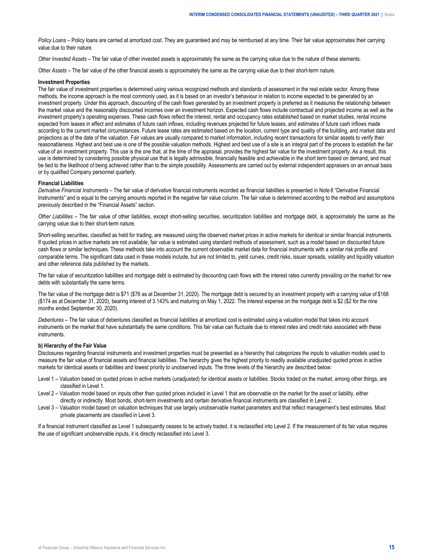*Policy Loans* – Policy loans are carried at amortized cost. They are guaranteed and may be reimbursed at any time. Their fair value approximates their carrying value due to their nature.

*Other Invested Assets –* The fair value of other invested assets is approximately the same as the carrying value due to the nature of these elements.

*Other Assets* – The fair value of the other financial assets is approximately the same as the carrying value due to their short-term nature.

#### **Investment Properties**

The fair value of investment properties is determined using various recognized methods and standards of assessment in the real estate sector. Among these methods, the income approach is the most commonly used, as it is based on an investor's behaviour in relation to income expected to be generated by an investment property. Under this approach, discounting of the cash flows generated by an investment property is preferred as it measures the relationship between the market value and the reasonably discounted incomes over an investment horizon. Expected cash flows include contractual and projected income as well as the investment property's operating expenses. These cash flows reflect the interest, rental and occupancy rates established based on market studies, rental income expected from leases in effect and estimates of future cash inflows, including revenues projected for future leases, and estimates of future cash inflows made according to the current market circumstances. Future lease rates are estimated based on the location, current type and quality of the building, and market data and projections as of the date of the valuation. Fair values are usually compared to market information, including recent transactions for similar assets to verify their reasonableness. Highest and best use is one of the possible valuation methods. Highest and best use of a site is an integral part of the process to establish the fair value of an investment property. This use is the one that, at the time of the appraisal, provides the highest fair value for the investment property. As a result, this use is determined by considering possible physical use that is legally admissible, financially feasible and achievable in the short term based on demand, and must be tied to the likelihood of being achieved rather than to the simple possibility. Assessments are carried out by external independent appraisers on an annual basis or by qualified Company personnel quarterly.

#### **Financial Liabilities**

*Derivative Financial Instruments –* The fair value of derivative financial instruments recorded as financial liabilities is presented in Note 8 "Derivative Financial Instruments" and is equal to the carrying amounts reported in the negative fair value column. The fair value is determined according to the method and assumptions previously described in the "Financial Assets" section.

*Other Liabilities –* The fair value of other liabilities, except short-selling securities, securitization liabilities and mortgage debt, is approximately the same as the carrying value due to their short-term nature.

Short-selling securities, classified as held for trading, are measured using the observed market prices in active markets for identical or similar financial instruments. If quoted prices in active markets are not available, fair value is estimated using standard methods of assessment, such as a model based on discounted future cash flows or similar techniques. These methods take into account the current observable market data for financial instruments with a similar risk profile and comparable terms. The significant data used in these models include, but are not limited to, yield curves, credit risks, issuer spreads, volatility and liquidity valuation and other reference data published by the markets.

The fair value of securitization liabilities and mortgage debt is estimated by discounting cash flows with the interest rates currently prevailing on the market for new debts with substantially the same terms.

The fair value of the mortgage debt is \$71 (\$76 as at December 31, 2020). The mortgage debt is secured by an investment property with a carrying value of \$168 (\$174 as at December 31, 2020), bearing interest of 3.143% and maturing on May 1, 2022. The interest expense on the mortgage debt is \$2 (\$2 for the nine months ended September 30, 2020).

*Debentures –* The fair value of debentures classified as financial liabilities at amortized cost is estimated using a valuation model that takes into account instruments on the market that have substantially the same conditions. This fair value can fluctuate due to interest rates and credit risks associated with these instruments.

#### **b) Hierarchy of the Fair Value**

Disclosures regarding financial instruments and investment properties must be presented as a hierarchy that categorizes the inputs to valuation models used to measure the fair value of financial assets and financial liabilities. The hierarchy gives the highest priority to readily available unadjusted quoted prices in active markets for identical assets or liabilities and lowest priority to unobserved inputs. The three levels of the hierarchy are described below:

- Level 1 Valuation based on quoted prices in active markets (unadjusted) for identical assets or liabilities. Stocks traded on the market, among other things, are classified in Level 1.
- Level 2 Valuation model based on inputs other than quoted prices included in Level 1 that are observable on the market for the asset or liability, either directly or indirectly. Most bonds, short-term investments and certain derivative financial instruments are classified in Level 2.
- Level 3 Valuation model based on valuation techniques that use largely unobservable market parameters and that reflect management's best estimates. Most private placements are classified in Level 3.

If a financial instrument classified as Level 1 subsequently ceases to be actively traded, it is reclassified into Level 2. If the measurement of its fair value requires the use of significant unobservable inputs, it is directly reclassified into Level 3.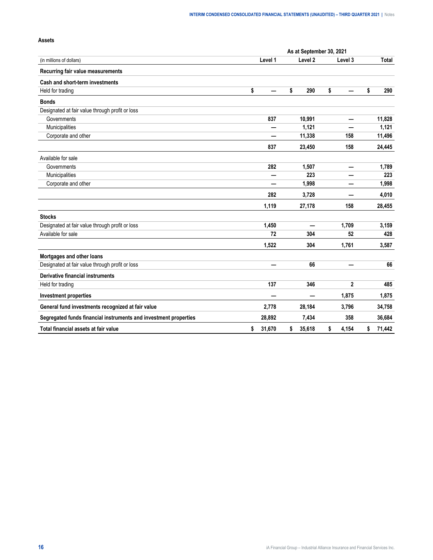|                                                                  |              | As at September 30, 2021 |              |              |
|------------------------------------------------------------------|--------------|--------------------------|--------------|--------------|
| (in millions of dollars)                                         | Level 1      | Level 2                  | Level 3      | Total        |
| Recurring fair value measurements                                |              |                          |              |              |
| Cash and short-term investments                                  |              |                          |              |              |
| Held for trading                                                 | \$           | \$<br>290                | \$           | \$<br>290    |
| <b>Bonds</b>                                                     |              |                          |              |              |
| Designated at fair value through profit or loss                  |              |                          |              |              |
| Governments                                                      | 837          | 10,991                   |              | 11,828       |
| Municipalities                                                   |              | 1,121                    |              | 1,121        |
| Corporate and other                                              |              | 11,338                   | 158          | 11,496       |
|                                                                  | 837          | 23,450                   | 158          | 24,445       |
| Available for sale                                               |              |                          |              |              |
| Governments                                                      | 282          | 1,507                    |              | 1,789        |
| Municipalities                                                   |              | 223                      |              | 223          |
| Corporate and other                                              |              | 1,998                    |              | 1,998        |
|                                                                  | 282          | 3,728                    |              | 4,010        |
|                                                                  | 1,119        | 27,178                   | 158          | 28,455       |
| <b>Stocks</b>                                                    |              |                          |              |              |
| Designated at fair value through profit or loss                  | 1,450        | —                        | 1,709        | 3,159        |
| Available for sale                                               | 72           | 304                      | 52           | 428          |
|                                                                  | 1,522        | 304                      | 1,761        | 3,587        |
| Mortgages and other loans                                        |              |                          |              |              |
| Designated at fair value through profit or loss                  | $\equiv$     | 66                       |              | 66           |
| Derivative financial instruments                                 |              |                          |              |              |
| Held for trading                                                 | 137          | 346                      | $\mathbf{2}$ | 485          |
| <b>Investment properties</b>                                     |              | —                        | 1,875        | 1,875        |
| General fund investments recognized at fair value                | 2,778        | 28,184                   | 3,796        | 34,758       |
| Segregated funds financial instruments and investment properties | 28,892       | 7,434                    | 358          | 36,684       |
| Total financial assets at fair value                             | \$<br>31,670 | \$<br>35,618             | \$<br>4,154  | \$<br>71,442 |

#### **Assets**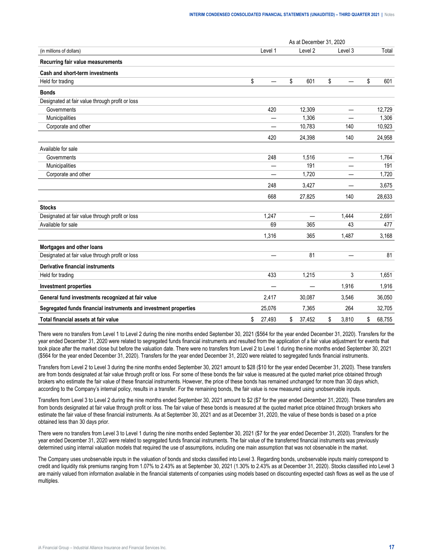|                                                                  | As at December 31, 2020 |         |    |                          |    |                   |    |        |  |
|------------------------------------------------------------------|-------------------------|---------|----|--------------------------|----|-------------------|----|--------|--|
| (in millions of dollars)                                         |                         | Level 1 |    | Level 2                  |    | Level 3           |    | Total  |  |
| Recurring fair value measurements                                |                         |         |    |                          |    |                   |    |        |  |
| Cash and short-term investments                                  |                         |         |    |                          |    |                   |    |        |  |
| Held for trading                                                 | \$                      |         | \$ | 601                      | \$ |                   | \$ | 601    |  |
| <b>Bonds</b>                                                     |                         |         |    |                          |    |                   |    |        |  |
| Designated at fair value through profit or loss                  |                         |         |    |                          |    |                   |    |        |  |
| Governments                                                      |                         | 420     |    | 12,309                   |    | $\qquad \qquad$   |    | 12,729 |  |
| Municipalities                                                   |                         |         |    | 1,306                    |    |                   |    | 1,306  |  |
| Corporate and other                                              |                         |         |    | 10,783                   |    | 140               |    | 10,923 |  |
|                                                                  |                         | 420     |    | 24,398                   |    | 140               |    | 24,958 |  |
| Available for sale                                               |                         |         |    |                          |    |                   |    |        |  |
| Governments                                                      |                         | 248     |    | 1,516                    |    | $\qquad \qquad -$ |    | 1,764  |  |
| Municipalities                                                   |                         |         |    | 191                      |    |                   |    | 191    |  |
| Corporate and other                                              |                         |         |    | 1,720                    |    |                   |    | 1,720  |  |
|                                                                  |                         | 248     |    | 3,427                    |    |                   |    | 3,675  |  |
|                                                                  |                         | 668     |    | 27,825                   |    | 140               |    | 28,633 |  |
| <b>Stocks</b>                                                    |                         |         |    |                          |    |                   |    |        |  |
| Designated at fair value through profit or loss                  |                         | 1,247   |    | $\overline{\phantom{0}}$ |    | 1,444             |    | 2,691  |  |
| Available for sale                                               |                         | 69      |    | 365                      |    | 43                |    | 477    |  |
|                                                                  |                         | 1,316   |    | 365                      |    | 1,487             |    | 3,168  |  |
| Mortgages and other loans                                        |                         |         |    |                          |    |                   |    |        |  |
| Designated at fair value through profit or loss                  |                         |         |    | 81                       |    |                   |    | 81     |  |
| <b>Derivative financial instruments</b>                          |                         |         |    |                          |    |                   |    |        |  |
| Held for trading                                                 |                         | 433     |    | 1,215                    |    | 3                 |    | 1,651  |  |
| <b>Investment properties</b>                                     |                         |         |    |                          |    | 1,916             |    | 1,916  |  |
| General fund investments recognized at fair value                |                         | 2,417   |    | 30,087                   |    | 3,546             |    | 36,050 |  |
| Segregated funds financial instruments and investment properties |                         | 25,076  |    | 7,365                    |    | 264               |    | 32,705 |  |
| Total financial assets at fair value                             | \$                      | 27,493  | \$ | 37,452                   | \$ | 3.810             | \$ | 68.755 |  |

There were no transfers from Level 1 to Level 2 during the nine months ended September 30, 2021 (\$564 for the year ended December 31, 2020). Transfers for the year ended December 31, 2020 were related to segregated funds financial instruments and resulted from the application of a fair value adjustment for events that took place after the market close but before the valuation date. There were no transfers from Level 2 to Level 1 during the nine months ended September 30, 2021 (\$564 for the year ended December 31, 2020). Transfers for the year ended December 31, 2020 were related to segregated funds financial instruments.

Transfers from Level 2 to Level 3 during the nine months ended September 30, 2021 amount to \$28 (\$10 for the year ended December 31, 2020). These transfers are from bonds designated at fair value through profit or loss. For some of these bonds the fair value is measured at the quoted market price obtained through brokers who estimate the fair value of these financial instruments. However, the price of these bonds has remained unchanged for more than 30 days which, according to the Company's internal policy, results in a transfer. For the remaining bonds, the fair value is now measured using unobservable inputs.

Transfers from Level 3 to Level 2 during the nine months ended September 30, 2021 amount to \$2 (\$7 for the year ended December 31, 2020). These transfers are from bonds designated at fair value through profit or loss. The fair value of these bonds is measured at the quoted market price obtained through brokers who estimate the fair value of these financial instruments. As at September 30, 2021 and as at December 31, 2020, the value of these bonds is based on a price obtained less than 30 days prior.

There were no transfers from Level 3 to Level 1 during the nine months ended September 30, 2021 (\$7 for the year ended December 31, 2020). Transfers for the year ended December 31, 2020 were related to segregated funds financial instruments. The fair value of the transferred financial instruments was previously determined using internal valuation models that required the use of assumptions, including one main assumption that was not observable in the market.

The Company uses unobservable inputs in the valuation of bonds and stocks classified into Level 3. Regarding bonds, unobservable inputs mainly correspond to credit and liquidity risk premiums ranging from 1.07% to 2.43% as at September 30, 2021 (1.30% to 2.43% as at December 31, 2020). Stocks classified into Level 3 are mainly valued from information available in the financial statements of companies using models based on discounting expected cash flows as well as the use of multiples.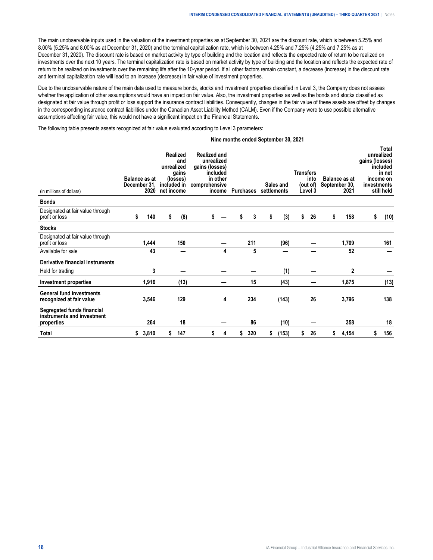The main unobservable inputs used in the valuation of the investment properties as at September 30, 2021 are the discount rate, which is between 5.25% and 8.00% (5.25% and 8.00% as at December 31, 2020) and the terminal capitalization rate, which is between 4.25% and 7.25% (4.25% and 7.25% as at December 31, 2020). The discount rate is based on market activity by type of building and the location and reflects the expected rate of return to be realized on investments over the next 10 years. The terminal capitalization rate is based on market activity by type of building and the location and reflects the expected rate of return to be realized on investments over the remaining life after the 10-year period. If all other factors remain constant, a decrease (increase) in the discount rate and terminal capitalization rate will lead to an increase (decrease) in fair value of investment properties.

Due to the unobservable nature of the main data used to measure bonds, stocks and investment properties classified in Level 3, the Company does not assess whether the application of other assumptions would have an impact on fair value. Also, the investment properties as well as the bonds and stocks classified as designated at fair value through profit or loss support the insurance contract liabilities. Consequently, changes in the fair value of these assets are offset by changes in the corresponding insurance contract liabilities under the Canadian Asset Liability Method (CALM). Even if the Company were to use possible alternative assumptions affecting fair value, this would not have a significant impact on the Financial Statements.

The following table presents assets recognized at fair value evaluated according to Level 3 parameters:

#### **Nine months ended September 30, 2021**

| (in millions of dollars)                                               | <b>Balance as at</b><br>December 31, | 2020  | unrealized<br>included in<br>net income | <b>Realized</b><br>and<br>gains<br>(losses) | <b>Realized and</b><br>unrealized<br>gains (losses)<br>included<br>in other<br>comprehensive<br>income |   | Purchases |     | settlements | Sales and | <b>Transfers</b> | into<br>(out of)<br>Level 3 | September 30, | Balance as at<br>2021 | gains (losses)<br>investments | Total<br>unrealized<br>included<br>in net<br>income on<br>still held |
|------------------------------------------------------------------------|--------------------------------------|-------|-----------------------------------------|---------------------------------------------|--------------------------------------------------------------------------------------------------------|---|-----------|-----|-------------|-----------|------------------|-----------------------------|---------------|-----------------------|-------------------------------|----------------------------------------------------------------------|
| <b>Bonds</b>                                                           |                                      |       |                                         |                                             |                                                                                                        |   |           |     |             |           |                  |                             |               |                       |                               |                                                                      |
| Designated at fair value through<br>profit or loss                     | \$                                   | 140   | \$                                      | (8)                                         | \$                                                                                                     |   | \$        | 3   | \$          | (3)       | \$               | 26                          | \$            | 158                   | \$                            | (10)                                                                 |
| <b>Stocks</b>                                                          |                                      |       |                                         |                                             |                                                                                                        |   |           |     |             |           |                  |                             |               |                       |                               |                                                                      |
| Designated at fair value through<br>profit or loss                     |                                      | 1,444 |                                         | 150                                         |                                                                                                        |   |           | 211 |             | (96)      |                  |                             |               | 1,709                 |                               | 161                                                                  |
| Available for sale                                                     |                                      | 43    |                                         | –                                           |                                                                                                        | 4 |           | 5   |             |           |                  |                             |               | 52                    |                               |                                                                      |
| Derivative financial instruments                                       |                                      |       |                                         |                                             |                                                                                                        |   |           |     |             |           |                  |                             |               |                       |                               |                                                                      |
| Held for trading                                                       |                                      | 3     |                                         | --                                          |                                                                                                        |   |           |     |             | (1)       |                  |                             |               | $\overline{2}$        |                               |                                                                      |
| <b>Investment properties</b>                                           |                                      | 1,916 |                                         | (13)                                        |                                                                                                        |   |           | 15  |             | (43)      |                  |                             |               | 1,875                 |                               | (13)                                                                 |
| <b>General fund investments</b><br>recognized at fair value            |                                      | 3,546 |                                         | 129                                         |                                                                                                        | 4 |           | 234 |             | (143)     |                  | 26                          |               | 3,796                 |                               | 138                                                                  |
| Segregated funds financial<br>instruments and investment<br>properties |                                      | 264   |                                         | 18                                          |                                                                                                        |   |           | 86  |             | (10)      |                  |                             |               | 358                   |                               | 18                                                                   |
| Total                                                                  | \$                                   | 3,810 | S                                       | 147                                         |                                                                                                        | 4 | \$        | 320 | s           | (153)     | S                | 26                          | S             | 4,154                 | S                             | 156                                                                  |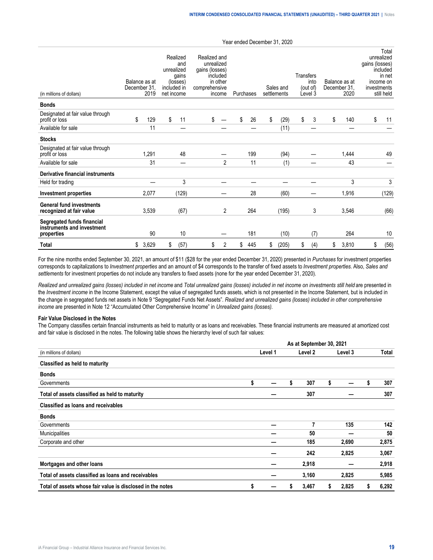| (in millions of dollars)                                               | Balance as at<br>December 31 | 2019  | net income | Realized<br>and<br>unrealized<br>gains<br>(losses)<br>included in | Realized and<br>unrealized<br>gains (losses)<br>comprehensive | included<br>in other<br>income | Purchases |     | Sales and<br>settlements | Transfers | into<br>(out of)<br>Level 3 | Balance as at<br>December 31.<br>2020 | gains (losses)<br>investments | Total<br>unrealized<br>included<br>in net<br>income on<br>still held |
|------------------------------------------------------------------------|------------------------------|-------|------------|-------------------------------------------------------------------|---------------------------------------------------------------|--------------------------------|-----------|-----|--------------------------|-----------|-----------------------------|---------------------------------------|-------------------------------|----------------------------------------------------------------------|
| <b>Bonds</b>                                                           |                              |       |            |                                                                   |                                                               |                                |           |     |                          |           |                             |                                       |                               |                                                                      |
| Designated at fair value through<br>profit or loss                     | \$                           | 129   | \$         | 11                                                                | \$                                                            |                                | \$        | 26  | \$<br>(29)               | \$        | 3                           | \$<br>140                             | \$                            | 11                                                                   |
| Available for sale                                                     |                              | 11    |            |                                                                   |                                                               |                                |           |     | (11)                     |           |                             |                                       |                               |                                                                      |
| <b>Stocks</b>                                                          |                              |       |            |                                                                   |                                                               |                                |           |     |                          |           |                             |                                       |                               |                                                                      |
| Designated at fair value through<br>profit or loss                     |                              | 1,291 |            | 48                                                                |                                                               |                                |           | 199 | (94)                     |           |                             | 1,444                                 |                               | 49                                                                   |
| Available for sale                                                     |                              | 31    |            | –                                                                 |                                                               | $\overline{2}$                 |           | 11  | (1)                      |           |                             | 43                                    |                               |                                                                      |
| Derivative financial instruments                                       |                              |       |            |                                                                   |                                                               |                                |           |     |                          |           |                             |                                       |                               |                                                                      |
| Held for trading                                                       |                              |       |            | 3                                                                 |                                                               |                                |           |     |                          |           |                             | 3                                     |                               | 3                                                                    |
| <b>Investment properties</b>                                           |                              | 2,077 |            | (129)                                                             |                                                               |                                |           | 28  | (60)                     |           |                             | 1,916                                 |                               | (129)                                                                |
| <b>General fund investments</b><br>recognized at fair value            |                              | 3,539 |            | (67)                                                              |                                                               | 2                              |           | 264 | (195)                    |           | 3                           | 3,546                                 |                               | (66)                                                                 |
| Segregated funds financial<br>instruments and investment<br>properties |                              | 90    |            | 10                                                                |                                                               |                                |           | 181 | (10)                     |           | (7)                         | 264                                   |                               | 10                                                                   |
| <b>Total</b>                                                           | \$                           | 3,629 | \$         | (57)                                                              | \$                                                            | 2                              | \$        | 445 | \$<br>(205)              | \$        | (4)                         | \$<br>3,810                           | \$                            | (56)                                                                 |

For the nine months ended September 30, 2021, an amount of \$11 (\$28 for the year ended December 31, 2020) presented in *Purchases* for investment properties corresponds to capitalizations to *Investment properties* and an amount of \$4 corresponds to the transfer of fixed assets to *Investment properties*. Also, *Sales and settlements* for investment properties do not include any transfers to fixed assets (none for the year ended December 31, 2020).

Realized and unrealized gains (losses) included in net income and Total unrealized gains (losses) included in net income on investments still held are presented in the *Investment income* in the Income Statement, except the value of segregated funds assets, which is not presented in the Income Statement, but is included in the change in segregated funds net assets in Note 9 "Segregated Funds Net Assets". *Realized and unrealized gains (losses) included in other comprehensive income* are presented in Note 12 "Accumulated Other Comprehensive Income" in *Unrealized gains (losses).*

#### **Fair Value Disclosed in the Notes**

The Company classifies certain financial instruments as held to maturity or as loans and receivables. These financial instruments are measured at amortized cost and fair value is disclosed in the notes. The following table shows the hierarchy level of such fair values:

|                                                                                                                                                                                                                                                                                                                    |         |   | As at September 30, 2021 |    |         |   |       |
|--------------------------------------------------------------------------------------------------------------------------------------------------------------------------------------------------------------------------------------------------------------------------------------------------------------------|---------|---|--------------------------|----|---------|---|-------|
| (in millions of dollars)                                                                                                                                                                                                                                                                                           | Level 1 |   | Level 2                  |    | Level 3 |   | Total |
| Classified as held to maturity<br><b>Bonds</b><br>Governments<br>Total of assets classified as held to maturity<br>Classified as loans and receivables<br><b>Bonds</b><br>Governments<br>Municipalities<br>Corporate and other<br>Mortgages and other loans<br>Total of assets classified as loans and receivables |         |   |                          |    |         |   |       |
|                                                                                                                                                                                                                                                                                                                    |         |   |                          |    |         |   |       |
|                                                                                                                                                                                                                                                                                                                    | \$      | S | 307                      | \$ |         | s | 307   |
|                                                                                                                                                                                                                                                                                                                    |         |   | 307                      |    |         |   | 307   |
|                                                                                                                                                                                                                                                                                                                    |         |   |                          |    |         |   |       |
|                                                                                                                                                                                                                                                                                                                    |         |   |                          |    |         |   |       |
|                                                                                                                                                                                                                                                                                                                    |         |   | 7                        |    | 135     |   | 142   |
|                                                                                                                                                                                                                                                                                                                    |         |   | 50                       |    |         |   | 50    |
|                                                                                                                                                                                                                                                                                                                    |         |   | 185                      |    | 2,690   |   | 2,875 |
|                                                                                                                                                                                                                                                                                                                    |         |   | 242                      |    | 2,825   |   | 3,067 |
|                                                                                                                                                                                                                                                                                                                    |         |   | 2,918                    |    |         |   | 2,918 |
|                                                                                                                                                                                                                                                                                                                    |         |   | 3,160                    |    | 2,825   |   | 5,985 |
| Total of assets whose fair value is disclosed in the notes                                                                                                                                                                                                                                                         | \$      | S | 3,467                    | 5  | 2,825   | S | 6,292 |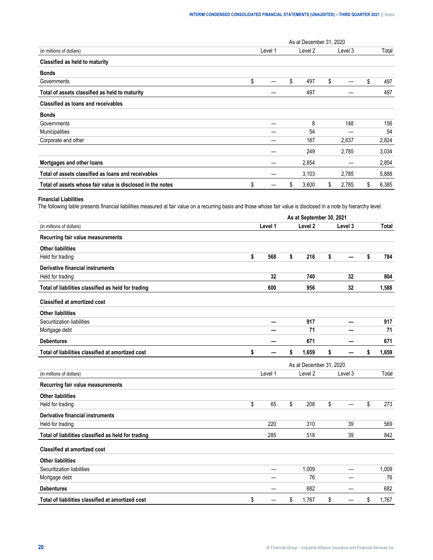|                                                            |         |    | As at December 31, 2020 |    |         |             |
|------------------------------------------------------------|---------|----|-------------------------|----|---------|-------------|
| (in millions of dollars)                                   | Level 1 |    | Level 2                 |    | Level 3 | Total       |
| Classified as held to maturity                             |         |    |                         |    |         |             |
| <b>Bonds</b>                                               |         |    |                         |    |         |             |
| Governments                                                | \$      | \$ | 497                     | \$ |         | \$<br>497   |
| Total of assets classified as held to maturity             |         |    | 497                     |    |         | 497         |
| Classified as loans and receivables                        |         |    |                         |    |         |             |
| <b>Bonds</b>                                               |         |    |                         |    |         |             |
| Governments                                                |         |    | 8                       |    | 148     | 156         |
| Municipalities                                             |         |    | 54                      |    |         | 54          |
| Corporate and other                                        |         |    | 187                     |    | 2,637   | 2,824       |
|                                                            |         |    | 249                     |    | 2,785   | 3,034       |
| Mortgages and other loans                                  |         |    | 2,854                   |    |         | 2,854       |
| Total of assets classified as loans and receivables        |         |    | 3,103                   |    | 2,785   | 5,888       |
| Total of assets whose fair value is disclosed in the notes | \$      | S  | 3,600                   | S  | 2,785   | \$<br>6,385 |

#### **Financial Liabilities**

The following table presents financial liabilities measured at fair value on a recurring basis and those whose fair value is disclosed in a note by hierarchy level:

|                                                     | As at September 30, 2021 |         |    |                         |    |         |    |              |  |  |
|-----------------------------------------------------|--------------------------|---------|----|-------------------------|----|---------|----|--------------|--|--|
| (in millions of dollars)                            |                          | Level 1 |    | Level <sub>2</sub>      |    | Level 3 |    | <b>Total</b> |  |  |
| Recurring fair value measurements                   |                          |         |    |                         |    |         |    |              |  |  |
| <b>Other liabilities</b>                            |                          |         |    |                         |    |         |    |              |  |  |
| Held for trading                                    | \$                       | 568     | \$ | 216                     | \$ |         | \$ | 784          |  |  |
| Derivative financial instruments                    |                          |         |    |                         |    |         |    |              |  |  |
| Held for trading                                    |                          | 32      |    | 740                     |    | 32      |    | 804          |  |  |
| Total of liabilities classified as held for trading |                          | 600     |    | 956                     |    | 32      |    | 1,588        |  |  |
| <b>Classified at amortized cost</b>                 |                          |         |    |                         |    |         |    |              |  |  |
| <b>Other liabilities</b>                            |                          |         |    |                         |    |         |    |              |  |  |
| Securitization liabilities                          |                          | —       |    | 917                     |    |         |    | 917          |  |  |
| Mortgage debt                                       |                          |         |    | 71                      |    |         |    | 71           |  |  |
| <b>Debentures</b>                                   |                          |         |    | 671                     |    |         |    | 671          |  |  |
| Total of liabilities classified at amortized cost   | \$                       |         | \$ | 1,659                   | \$ |         | \$ | 1,659        |  |  |
|                                                     |                          |         |    | As at December 31, 2020 |    |         |    |              |  |  |
| (in millions of dollars)                            |                          | Level 1 |    | Level 2                 |    | Level 3 |    | Total        |  |  |
| Recurring fair value measurements                   |                          |         |    |                         |    |         |    |              |  |  |
| <b>Other liabilities</b>                            |                          |         |    |                         |    |         |    |              |  |  |
| Held for trading                                    | \$                       | 65      | \$ | 208                     | \$ | ÷.      | \$ | 273          |  |  |
| <b>Derivative financial instruments</b>             |                          |         |    |                         |    |         |    |              |  |  |
| Held for trading                                    |                          | 220     |    | 310                     |    | 39      |    | 569          |  |  |
| Total of liabilities classified as held for trading |                          | 285     |    | 518                     |    | 39      |    | 842          |  |  |
| <b>Classified at amortized cost</b>                 |                          |         |    |                         |    |         |    |              |  |  |
| <b>Other liabilities</b>                            |                          |         |    |                         |    |         |    |              |  |  |
| Securitization liabilities                          |                          | —       |    | 1,009                   |    | -       |    | 1,009        |  |  |
| Mortgage debt                                       |                          |         |    | 76                      |    |         |    | 76           |  |  |
| <b>Debentures</b>                                   |                          |         |    | 682                     |    |         |    | 682          |  |  |
| Total of liabilities classified at amortized cost   | \$                       |         | \$ | 1,767                   | \$ |         | \$ | 1,767        |  |  |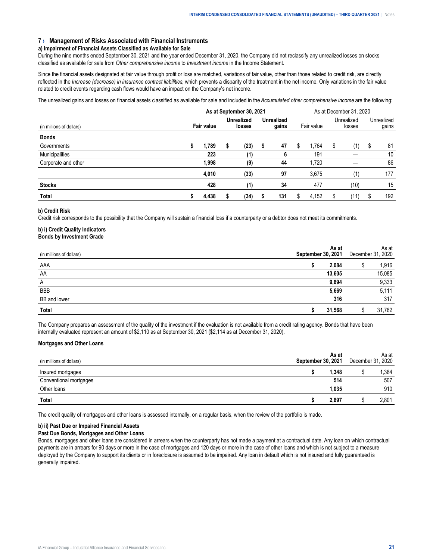#### <span id="page-20-0"></span>**7 › Management of Risks Associated with Financial Instruments**

#### **a) Impairment of Financial Assets Classified as Available for Sale**

During the nine months ended September 30, 2021 and the year ended December 31, 2020, the Company did not reclassify any unrealized losses on stocks classified as available for sale from *Other comprehensive income* to *Investment income* in the Income Statement.

Since the financial assets designated at fair value through profit or loss are matched, variations of fair value, other than those related to credit risk, are directly reflected in the *Increase (decrease) in insurance contract liabilities*, which prevents a disparity of the treatment in the net income. Only variations in the fair value related to credit events regarding cash flows would have an impact on the Company's net income.

The unrealized gains and losses on financial assets classified as available for sale and included in the *Accumulated other comprehensive income* are the following:

|                          |            | As at December 31, 2020 |  |                             |  |                            |   |            |                      |      |    |                     |
|--------------------------|------------|-------------------------|--|-----------------------------|--|----------------------------|---|------------|----------------------|------|----|---------------------|
| (in millions of dollars) | Fair value |                         |  | <b>Unrealized</b><br>losses |  | <b>Unrealized</b><br>gains |   | Fair value | Unrealized<br>losses |      |    | Unrealized<br>gains |
| <b>Bonds</b>             |            |                         |  |                             |  |                            |   |            |                      |      |    |                     |
| Governments              |            | 1.789                   |  | (23)                        |  | 47                         | S | 1.764      | S                    | (1)  | S. | 81                  |
| Municipalities           |            | 223                     |  | (1)                         |  | 6                          |   | 191        |                      |      |    | 10                  |
| Corporate and other      |            | 1.998                   |  | (9)                         |  | 44                         |   | 1,720      |                      |      |    | 86                  |
|                          |            | 4.010                   |  | (33)                        |  | 97                         |   | 3.675      |                      | (1)  |    | 177                 |
| <b>Stocks</b>            |            | 428                     |  | (1)                         |  | 34                         |   | 477        |                      | (10) |    | 15                  |
| Total                    | s          | 4.438                   |  | (34)                        |  | 131                        | S | 4.152      | \$                   | 11)  |    | 192                 |

#### **b) Credit Risk**

Credit risk corresponds to the possibility that the Company will sustain a financial loss if a counterparty or a debtor does not meet its commitments.

#### **b) i) Credit Quality Indicators Bonds by Investment Grade**

| (in millions of dollars) | 2021  | December                    | As at<br>2020 |
|--------------------------|-------|-----------------------------|---------------|
| AAA                      |       |                             | 916           |
| AA                       | 3.605 | --------------------------- | 085           |
| Α                        |       |                             |               |
| <b>BBB</b>               |       | --------------------------- |               |
| <b>BB</b> and lower      |       |                             | 317           |
|                          |       |                             | .762          |

The Company prepares an assessment of the quality of the investment if the evaluation is not available from a credit rating agency. Bonds that have been internally evaluated represent an amount of \$2,110 as at September 30, 2021 (\$2,114 as at December 31, 2020).

#### **Mortgages and Other Loans**

| (in millions of dollars) | As at<br>ptember 30, 2021 | As at<br>December 31, 2020 |
|--------------------------|---------------------------|----------------------------|
| Insured mortgages        | .348                      | .384                       |
| Conventional mortgages   | 514                       | 507                        |
| Other loans              | .035                      | 910                        |
| Total                    | 2,897                     | 2.801                      |

The credit quality of mortgages and other loans is assessed internally, on a regular basis, when the review of the portfolio is made.

#### **b) ii) Past Due or Impaired Financial Assets**

#### **Past Due Bonds, Mortgages and Other Loans**

Bonds, mortgages and other loans are considered in arrears when the counterparty has not made a payment at a contractual date. Any loan on which contractual payments are in arrears for 90 days or more in the case of mortgages and 120 days or more in the case of other loans and which is not subject to a measure deployed by the Company to support its clients or in foreclosure is assumed to be impaired. Any loan in default which is not insured and fully guaranteed is generally impaired.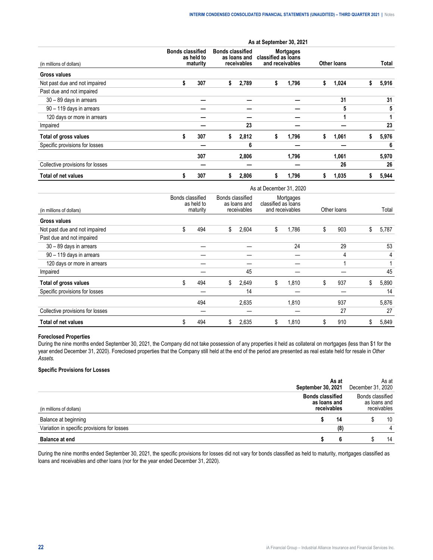|                                  | As at September 30, 2021 |                                                   |    |                                                        |    |                                                            |             |       |    |       |  |
|----------------------------------|--------------------------|---------------------------------------------------|----|--------------------------------------------------------|----|------------------------------------------------------------|-------------|-------|----|-------|--|
| (in millions of dollars)         |                          | <b>Bonds classified</b><br>as held to<br>maturity |    | <b>Bonds classified</b><br>as loans and<br>receivables |    | <b>Mortgages</b><br>classified as loans<br>and receivables | Other loans |       |    | Total |  |
| Gross values                     |                          |                                                   |    |                                                        |    |                                                            |             |       |    |       |  |
| Not past due and not impaired    | \$                       | 307                                               | \$ | 2,789                                                  | \$ | 1,796                                                      | s           | 1,024 |    | 5,916 |  |
| Past due and not impaired        |                          |                                                   |    |                                                        |    |                                                            |             |       |    |       |  |
| 30 - 89 days in arrears          |                          |                                                   |    |                                                        |    |                                                            |             | 31    |    | 31    |  |
| 90 - 119 days in arrears         |                          |                                                   |    |                                                        |    |                                                            |             | 5     |    | 5     |  |
| 120 days or more in arrears      |                          |                                                   |    |                                                        |    |                                                            |             |       |    |       |  |
| Impaired                         |                          |                                                   |    | 23                                                     |    |                                                            |             |       |    | 23    |  |
| Total of gross values            | \$                       | 307                                               | s  | 2,812                                                  | s  | 1,796                                                      | Ъ.          | 1,061 | æ. | 5,976 |  |
| Specific provisions for losses   |                          |                                                   |    | 6                                                      |    |                                                            |             |       |    | 6     |  |
|                                  |                          | 307                                               |    | 2,806                                                  |    | 1,796                                                      |             | 1,061 |    | 5,970 |  |
| Collective provisions for losses |                          |                                                   |    |                                                        |    |                                                            |             | 26    |    | 26    |  |
| <b>Total of net values</b>       | \$                       | 307                                               | S  | 2,806                                                  |    | 1,796                                                      |             | 1,035 |    | 5,944 |  |

|                                  | As at December 31, 2020                    |     |                  |                             |                     |                              |    |             |    |       |  |
|----------------------------------|--------------------------------------------|-----|------------------|-----------------------------|---------------------|------------------------------|----|-------------|----|-------|--|
| (in millions of dollars)         | Bonds classified<br>as held to<br>maturity |     | Bonds classified | as loans and<br>receivables | classified as loans | Mortgages<br>and receivables |    | Other loans |    | Total |  |
| <b>Gross values</b>              |                                            |     |                  |                             |                     |                              |    |             |    |       |  |
| Not past due and not impaired    | \$                                         | 494 | S.               | 2,604                       | \$                  | 1,786                        | S  | 903         | \$ | 5,787 |  |
| Past due and not impaired        |                                            |     |                  |                             |                     |                              |    |             |    |       |  |
| 30 - 89 days in arrears          |                                            |     |                  |                             |                     | 24                           |    | 29          |    | 53    |  |
| 90 - 119 days in arrears         |                                            |     |                  |                             |                     |                              |    | 4           |    | 4     |  |
| 120 days or more in arrears      |                                            |     |                  |                             |                     |                              |    |             |    |       |  |
| Impaired                         |                                            |     |                  | 45                          |                     |                              |    |             |    | 45    |  |
| Total of gross values            | \$                                         | 494 | \$               | 2,649                       | \$                  | 1.810                        | \$ | 937         | \$ | 5,890 |  |
| Specific provisions for losses   |                                            |     |                  | 14                          |                     |                              |    |             |    | 14    |  |
|                                  |                                            | 494 |                  | 2,635                       |                     | 1.810                        |    | 937         |    | 5,876 |  |
| Collective provisions for losses |                                            |     |                  |                             |                     |                              |    | 27          |    | 27    |  |
| <b>Total of net values</b>       | \$                                         | 494 | \$               | 2,635                       | \$                  | 1,810                        | Æ  | 910         | S  | 5,849 |  |

#### **Foreclosed Properties**

During the nine months ended September 30, 2021, the Company did not take possession of any properties it held as collateral on mortgages (less than \$1 for the year ended December 31, 2020). Foreclosed properties that the Company still held at the end of the period are presented as real estate held for resale in *Other Assets.*

#### **Specific Provisions for Losses**

|                                             | As at<br>ptember 30, 2021                              | As at<br>December 31, 2020 |                            |  |  |  |
|---------------------------------------------|--------------------------------------------------------|----------------------------|----------------------------|--|--|--|
| dollars)                                    | <b>Bonds classified</b><br>as loans and<br>receivables | Bonds classified           | as loans and<br>eceivables |  |  |  |
| Balance at beginning                        | 14                                                     |                            | 10                         |  |  |  |
| Variation in specific provisions for losses | 18                                                     |                            |                            |  |  |  |
| <b>Balance at end</b>                       |                                                        |                            | 14                         |  |  |  |

During the nine months ended September 30, 2021, the specific provisions for losses did not vary for bonds classified as held to maturity, mortgages classified as loans and receivables and other loans (nor for the year ended December 31, 2020).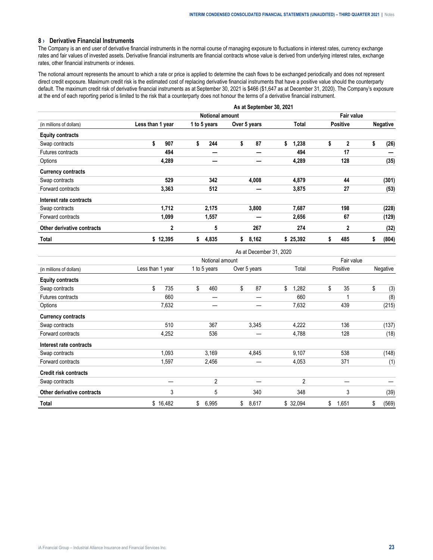#### <span id="page-22-0"></span>**8 › Derivative Financial Instruments**

The Company is an end user of derivative financial instruments in the normal course of managing exposure to fluctuations in interest rates, currency exchange rates and fair values of invested assets. Derivative financial instruments are financial contracts whose value is derived from underlying interest rates, exchange rates, other financial instruments or indexes.

The notional amount represents the amount to which a rate or price is applied to determine the cash flows to be exchanged periodically and does not represent direct credit exposure. Maximum credit risk is the estimated cost of replacing derivative financial instruments that have a positive value should the counterparty default. The maximum credit risk of derivative financial instruments as at September 30, 2021 is \$466 (\$1,647 as at December 31, 2020). The Company's exposure at the end of each reporting period is limited to the risk that a counterparty does not honour the terms of a derivative financial instrument.

|                            | As at September 30, 2021 |                        |              |             |                    |                 |  |  |  |  |  |  |
|----------------------------|--------------------------|------------------------|--------------|-------------|--------------------|-----------------|--|--|--|--|--|--|
|                            |                          | <b>Notional amount</b> |              |             |                    |                 |  |  |  |  |  |  |
| (in millions of dollars)   | Less than 1 year         | 1 to 5 years           | Over 5 years | Total       | <b>Positive</b>    | <b>Negative</b> |  |  |  |  |  |  |
| <b>Equity contracts</b>    |                          |                        |              |             |                    |                 |  |  |  |  |  |  |
| Swap contracts             | \$<br>907                | \$<br>244              | \$<br>87     | \$<br>1,238 | \$<br>$\mathbf{2}$ | \$<br>(26)      |  |  |  |  |  |  |
| Futures contracts          | 494                      |                        |              | 494         | 17                 |                 |  |  |  |  |  |  |
| Options                    | 4,289                    |                        |              | 4,289       | 128                | (35)            |  |  |  |  |  |  |
| <b>Currency contracts</b>  |                          |                        |              |             |                    |                 |  |  |  |  |  |  |
| Swap contracts             | 529                      | 342                    | 4,008        | 4,879       | 44                 | (301)           |  |  |  |  |  |  |
| Forward contracts          | 3,363                    | 512                    |              | 3,875       | 27                 | (53)            |  |  |  |  |  |  |
| Interest rate contracts    |                          |                        |              |             |                    |                 |  |  |  |  |  |  |
| Swap contracts             | 1,712                    | 2,175                  | 3,800        | 7,687       | 198                | (228)           |  |  |  |  |  |  |
| Forward contracts          | 1,099                    | 1,557                  |              | 2,656       | 67                 | (129)           |  |  |  |  |  |  |
| Other derivative contracts | $\mathbf 2$              | 5                      | 267          | 274         | $\mathbf{2}$       | (32)            |  |  |  |  |  |  |
| Total                      | \$12,395                 | 4,835<br>s             | \$<br>8,162  | \$25,392    | 485<br>s           | (804)<br>\$     |  |  |  |  |  |  |

As at December 31, 2020

|                              |                  | $10$ at DUUCHING VI, LULU |              |             |             |             |  |  |  |  |  |
|------------------------------|------------------|---------------------------|--------------|-------------|-------------|-------------|--|--|--|--|--|
|                              |                  | Notional amount           |              |             |             |             |  |  |  |  |  |
| (in millions of dollars)     | Less than 1 year | 1 to 5 years              | Over 5 years | Total       | Positive    | Negative    |  |  |  |  |  |
| <b>Equity contracts</b>      |                  |                           |              |             |             |             |  |  |  |  |  |
| Swap contracts               | \$<br>735        | \$<br>460                 | \$<br>87     | \$<br>1,282 | \$<br>35    | \$<br>(3)   |  |  |  |  |  |
| Futures contracts            | 660              |                           |              | 660         |             | (8)         |  |  |  |  |  |
| Options                      | 7,632            |                           |              | 7,632       | 439         | (215)       |  |  |  |  |  |
| <b>Currency contracts</b>    |                  |                           |              |             |             |             |  |  |  |  |  |
| Swap contracts               | 510              | 367                       | 3,345        | 4,222       | 136         | (137)       |  |  |  |  |  |
| Forward contracts            | 4,252            | 536                       |              | 4,788       | 128         | (18)        |  |  |  |  |  |
| Interest rate contracts      |                  |                           |              |             |             |             |  |  |  |  |  |
| Swap contracts               | 1,093            | 3,169                     | 4,845        | 9,107       | 538         | (148)       |  |  |  |  |  |
| Forward contracts            | 1,597            | 2,456                     |              | 4,053       | 371         | (1)         |  |  |  |  |  |
| <b>Credit risk contracts</b> |                  |                           |              |             |             |             |  |  |  |  |  |
| Swap contracts               |                  | $\overline{2}$            |              | 2           |             |             |  |  |  |  |  |
| Other derivative contracts   | 3                | 5                         | 340          | 348         | 3           | (39)        |  |  |  |  |  |
| Total                        | \$16,482         | \$<br>6,995               | \$<br>8,617  | \$ 32,094   | 1,651<br>\$ | \$<br>(569) |  |  |  |  |  |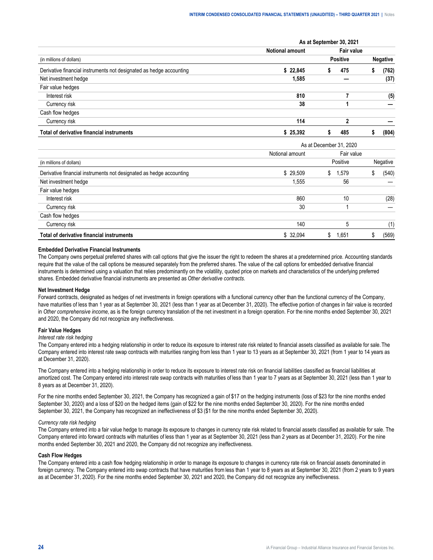|                                                                     | As at September 30, 2021 |                 |            |  |                 |  |  |  |  |
|---------------------------------------------------------------------|--------------------------|-----------------|------------|--|-----------------|--|--|--|--|
|                                                                     | <b>Notional amount</b>   |                 | Fair value |  |                 |  |  |  |  |
| (in millions of dollars)                                            |                          | <b>Positive</b> |            |  | <b>Negative</b> |  |  |  |  |
| Derivative financial instruments not designated as hedge accounting | \$22.845                 |                 | 475        |  | 762)            |  |  |  |  |
| Net investment hedge                                                | 1.585                    |                 |            |  | (37)            |  |  |  |  |
| Fair value hedges                                                   |                          |                 |            |  |                 |  |  |  |  |
| Interest risk                                                       | 810                      |                 |            |  | (5)             |  |  |  |  |
| Currency risk                                                       | 38                       |                 |            |  |                 |  |  |  |  |
| Cash flow hedges                                                    |                          |                 |            |  |                 |  |  |  |  |
| Currency risk                                                       | 114                      |                 |            |  |                 |  |  |  |  |
| Total of derivative financial instruments                           | 25,392                   |                 | 485        |  | (804)           |  |  |  |  |

|                                                                     | As at December 31, 2020 |             |            |  |          |  |  |  |  |
|---------------------------------------------------------------------|-------------------------|-------------|------------|--|----------|--|--|--|--|
|                                                                     | Notional amount         |             | Fair value |  |          |  |  |  |  |
| (in millions of dollars)                                            |                         | Positive    |            |  | Negative |  |  |  |  |
| Derivative financial instruments not designated as hedge accounting | \$29.509                | 1.579<br>S. |            |  | (540)    |  |  |  |  |
| Net investment hedge                                                | .555                    |             | 56         |  |          |  |  |  |  |
| Fair value hedges                                                   |                         |             |            |  |          |  |  |  |  |
| Interest risk                                                       | 860                     |             | 10         |  | (28)     |  |  |  |  |
| Currency risk                                                       | 30                      |             |            |  |          |  |  |  |  |
| Cash flow hedges                                                    |                         |             |            |  |          |  |  |  |  |
| Currency risk                                                       | 140                     |             | .5         |  |          |  |  |  |  |
| Total of derivative financial instruments                           | -32.094                 | .651        |            |  | (569)    |  |  |  |  |

#### **Embedded Derivative Financial Instruments**

The Company owns perpetual preferred shares with call options that give the issuer the right to redeem the shares at a predetermined price. Accounting standards require that the value of the call options be measured separately from the preferred shares. The value of the call options for embedded derivative financial instruments is determined using a valuation that relies predominantly on the volatility, quoted price on markets and characteristics of the underlying preferred shares. Embedded derivative financial instruments are presented as *Other derivative contracts*.

#### **Net Investment Hedge**

Forward contracts, designated as hedges of net investments in foreign operations with a functional currency other than the functional currency of the Company, have maturities of less than 1 year as at September 30, 2021 (less than 1 year as at December 31, 2020). The effective portion of changes in fair value is recorded in *Other comprehensive income*, as is the foreign currency translation of the net investment in a foreign operation. For the nine months ended September 30, 2021 and 2020, the Company did not recognize any ineffectiveness.

#### **Fair Value Hedges**

#### *Interest rate risk hedging*

The Company entered into a hedging relationship in order to reduce its exposure to interest rate risk related to financial assets classified as available for sale. The Company entered into interest rate swap contracts with maturities ranging from less than 1 year to 13 years as at September 30, 2021 (from 1 year to 14 years as at December 31, 2020).

The Company entered into a hedging relationship in order to reduce its exposure to interest rate risk on financial liabilities classified as financial liabilities at amortized cost. The Company entered into interest rate swap contracts with maturities of less than 1 year to 7 years as at September 30, 2021 (less than 1 year to 8 years as at December 31, 2020).

For the nine months ended September 30, 2021, the Company has recognized a gain of \$17 on the hedging instruments (loss of \$23 for the nine months ended September 30, 2020) and a loss of \$20 on the hedged items (gain of \$22 for the nine months ended September 30, 2020). For the nine months ended September 30, 2021, the Company has recognized an ineffectiveness of \$3 (\$1 for the nine months ended September 30, 2020).

#### *Currency rate risk hedging*

The Company entered into a fair value hedge to manage its exposure to changes in currency rate risk related to financial assets classified as available for sale. The Company entered into forward contracts with maturities of less than 1 year as at September 30, 2021 (less than 2 years as at December 31, 2020). For the nine months ended September 30, 2021 and 2020, the Company did not recognize any ineffectiveness.

#### **Cash Flow Hedges**

The Company entered into a cash flow hedging relationship in order to manage its exposure to changes in currency rate risk on financial assets denominated in foreign currency. The Company entered into swap contracts that have maturities from less than 1 year to 8 years as at September 30, 2021 (from 2 years to 9 years as at December 31, 2020). For the nine months ended September 30, 2021 and 2020, the Company did not recognize any ineffectiveness.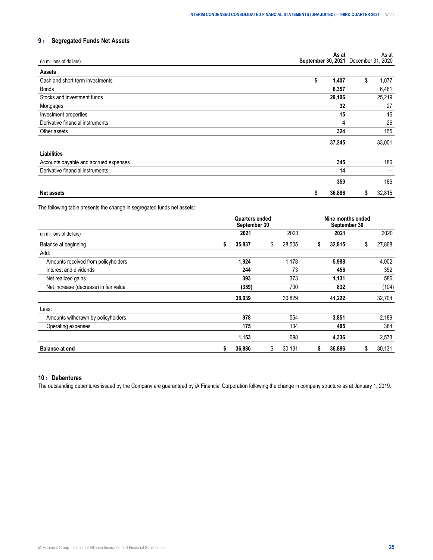#### <span id="page-24-0"></span>**9 › Segregated Funds Net Assets**

| (in millions of dollars)              | As at<br>September 30, 2021 | As at<br>December 31, 2020 |
|---------------------------------------|-----------------------------|----------------------------|
| <b>Assets</b>                         |                             |                            |
| Cash and short-term investments       | \$<br>1,407                 | \$<br>1,077                |
| <b>Bonds</b>                          | 6,357                       | 6,481                      |
| Stocks and investment funds           | 29,106                      | 25,219                     |
| Mortgages                             | 32                          | 27                         |
| Investment properties                 | 15                          | 16                         |
| Derivative financial instruments      | 4                           | 26                         |
| Other assets                          | 324                         | 155                        |
|                                       | 37,245                      | 33,001                     |
| Liabilities                           |                             |                            |
| Accounts payable and accrued expenses | 345                         | 186                        |
| Derivative financial instruments      | 14                          |                            |
|                                       | 359                         | 186                        |
| <b>Net assets</b>                     | 36,886<br>\$                | 32,815<br>\$               |

The following table presents the change in segregated funds net assets:

|                                       |   | Nine months ended |              |   |        |    |        |
|---------------------------------------|---|-------------------|--------------|---|--------|----|--------|
| (in millions of dollars)              |   | 2021              | 2020         |   | 2021   |    | 2020   |
| Balance at beginning                  | s | 35,837            | \$<br>28,505 | s | 32,815 | \$ | 27,868 |
| Add:                                  |   |                   |              |   |        |    |        |
| Amounts received from policyholders   |   | 1,924             | 1.178        |   | 5,988  |    | 4,002  |
| Interest and dividends                |   | 244               | 73           |   | 456    |    | 352    |
| Net realized gains                    |   | 393               | 373          |   | 1,131  |    | 586    |
| Net increase (decrease) in fair value |   | (359)             | 700          |   | 832    |    | (104)  |
|                                       |   | 38,039            | 30,829       |   | 41,222 |    | 32,704 |
| Less:                                 |   |                   |              |   |        |    |        |
| Amounts withdrawn by policyholders    |   | 978               | 564          |   | 3,851  |    | 2,189  |
| Operating expenses                    |   | 175               | 134          |   | 485    |    | 384    |
|                                       |   | 1,153             | 698          |   | 4,336  |    | 2,573  |
| <b>Balance at end</b>                 | S | 36,886            | \$<br>30,131 | s | 36,886 | \$ | 30,131 |

#### **10 › Debentures**

The outstanding debentures issued by the Company are guaranteed by iA Financial Corporation following the change in company structure as at January 1, 2019.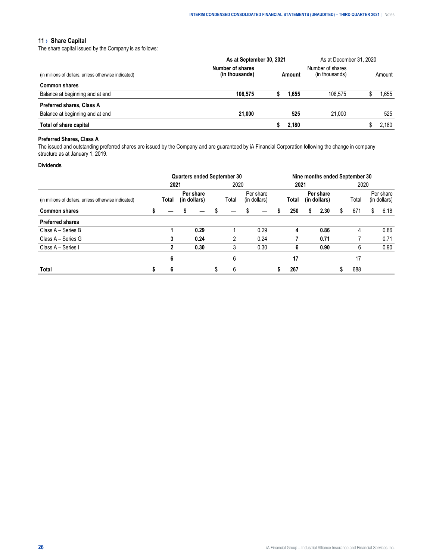#### <span id="page-25-0"></span>**11 › Share Capital**

The share capital issued by the Company is as follows:

|                                                      | As at September 30, 2021           | As at December 31, 2020 |       |         |  |        |
|------------------------------------------------------|------------------------------------|-------------------------|-------|---------|--|--------|
| (in millions of dollars, unless otherwise indicated) | Number of shares<br>(in thousands) | Amount                  |       |         |  | Amount |
| <b>Common shares</b>                                 |                                    |                         |       |         |  |        |
| Balance at beginning and at end                      | 108.575                            |                         | 1.655 | 108.575 |  | .655   |
| <b>Preferred shares, Class A</b>                     |                                    |                         |       |         |  |        |
| Balance at beginning and at end                      | 21.000                             |                         | 525   | 21.000  |  | 525    |
| Total of share capital                               |                                    |                         | 2.180 |         |  | .180   |

#### **Preferred Shares, Class A**

The issued and outstanding preferred shares are issued by the Company and are guaranteed by iA Financial Corporation following the change in company structure as at January 1, 2019.

#### **Dividends**

|                                                      |  | <b>Quarters ended September 30</b> |  |                           |  |       |                           |      | Nine months ended September 30 |       |                           |      |      |       |    |                           |  |
|------------------------------------------------------|--|------------------------------------|--|---------------------------|--|-------|---------------------------|------|--------------------------------|-------|---------------------------|------|------|-------|----|---------------------------|--|
|                                                      |  | 2021                               |  |                           |  | 2020  |                           |      |                                | 2021  |                           |      | 2020 |       |    |                           |  |
| (in millions of dollars, unless otherwise indicated) |  | Total                              |  | Per share<br>(in dollars) |  | Total | Per share<br>(in dollars) |      |                                | Total | Per share<br>(in dollars) |      |      | Total |    | Per share<br>(in dollars) |  |
| <b>Common shares</b>                                 |  |                                    |  |                           |  |       |                           |      |                                | 250   | s                         | 2.30 | \$.  | 671   | \$ | 6.18                      |  |
| <b>Preferred shares</b>                              |  |                                    |  |                           |  |       |                           |      |                                |       |                           |      |      |       |    |                           |  |
| Class A - Series B                                   |  |                                    |  | 0.29                      |  |       |                           | 0.29 |                                | 4     |                           | 0.86 |      | 4     |    | 0.86                      |  |
| Class A - Series G                                   |  | 3                                  |  | 0.24                      |  | 2     |                           | 0.24 |                                |       |                           | 0.71 |      |       |    | 0.71                      |  |
| Class A - Series I                                   |  | 2                                  |  | 0.30                      |  | 3     |                           | 0.30 |                                | 6     |                           | 0.90 |      | 6     |    | 0.90                      |  |
|                                                      |  | 6                                  |  |                           |  | 6     |                           |      |                                | 17    |                           |      |      | 17    |    |                           |  |
| <b>Total</b>                                         |  |                                    |  |                           |  |       |                           |      |                                | 267   |                           |      |      | 688   |    |                           |  |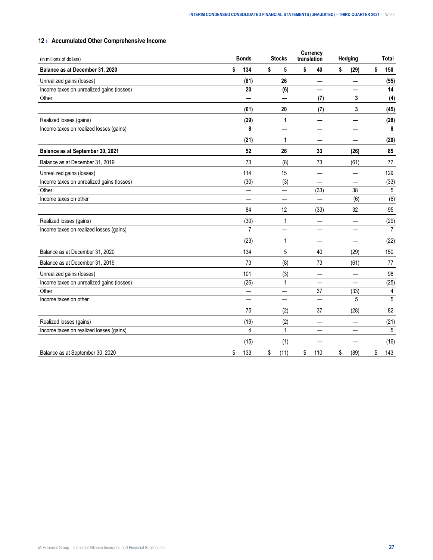### <span id="page-26-0"></span>**12 › Accumulated Other Comprehensive Income**

| (in millions of dollars)                  | <b>Bonds</b>   | <b>Stocks</b>            | <b>Currency</b><br>translation | Hedging    | Total     |
|-------------------------------------------|----------------|--------------------------|--------------------------------|------------|-----------|
| Balance as at December 31, 2020           | \$<br>134      | \$<br>5                  | \$<br>40                       | \$<br>(29) | \$<br>150 |
| Unrealized gains (losses)                 | (81)           | 26                       |                                |            | (55)      |
| Income taxes on unrealized gains (losses) | 20             | (6)                      |                                |            | 14        |
| Other                                     |                |                          | (7)                            | 3          | (4)       |
|                                           | (61)           | 20                       | (7)                            | 3          | (45)      |
| Realized losses (gains)                   | (29)           | 1                        |                                |            | (28)      |
| Income taxes on realized losses (gains)   | 8              |                          |                                |            | 8         |
|                                           | (21)           | 1                        |                                |            | (20)      |
| Balance as at September 30, 2021          | 52             | 26                       | 33                             | (26)       | 85        |
| Balance as at December 31, 2019           | 73             | (8)                      | 73                             | (61)       | 77        |
| Unrealized gains (losses)                 | 114            | 15                       |                                |            | 129       |
| Income taxes on unrealized gains (losses) | (30)           | (3)                      |                                |            | (33)      |
| Other                                     | —              | —                        | (33)                           | 38         | 5         |
| Income taxes on other                     |                | —                        | $\overline{\phantom{0}}$       | (6)        | (6)       |
|                                           | 84             | 12                       | (33)                           | 32         | 95        |
| Realized losses (gains)                   | (30)           | 1                        |                                |            | (29)      |
| Income taxes on realized losses (gains)   | $\overline{7}$ | —                        |                                | —          | 7         |
|                                           | (23)           | 1                        |                                |            | (22)      |
| Balance as at December 31, 2020           | 134            | 5                        | 40                             | (29)       | 150       |
| Balance as at December 31, 2019           | 73             | (8)                      | 73                             | (61)       | 77        |
| Unrealized gains (losses)                 | 101            | (3)                      |                                |            | 98        |
| Income taxes on unrealized gains (losses) | (26)           | 1                        |                                |            | (25)      |
| Other                                     |                |                          | 37                             | (33)       | 4         |
| Income taxes on other                     |                | $\overline{\phantom{0}}$ |                                | 5          | 5         |
|                                           | 75             | (2)                      | 37                             | (28)       | 82        |
| Realized losses (gains)                   | (19)           | (2)                      |                                |            | (21)      |
| Income taxes on realized losses (gains)   | 4              | 1                        |                                |            | 5         |
|                                           | (15)           | (1)                      |                                |            | (16)      |
| Balance as at September 30, 2020          | \$<br>133      | \$<br>(11)               | \$<br>110                      | \$<br>(89) | \$<br>143 |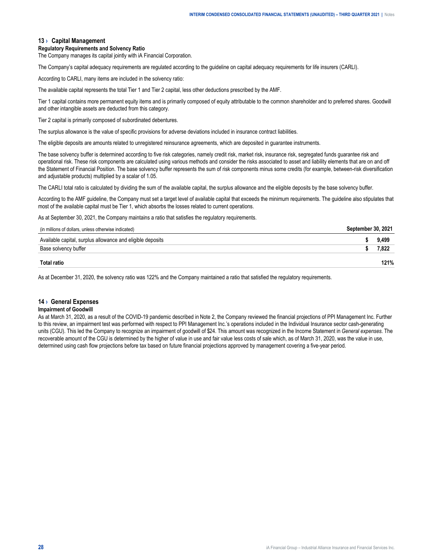#### <span id="page-27-0"></span>**13 › Capital Management**

#### **Regulatory Requirements and Solvency Ratio**

The Company manages its capital jointly with iA Financial Corporation.

The Company's capital adequacy requirements are regulated according to the guideline on capital adequacy requirements for life insurers (CARLI).

According to CARLI, many items are included in the solvency ratio:

The available capital represents the total Tier 1 and Tier 2 capital, less other deductions prescribed by the AMF.

Tier 1 capital contains more permanent equity items and is primarily composed of equity attributable to the common shareholder and to preferred shares. Goodwill and other intangible assets are deducted from this category.

Tier 2 capital is primarily composed of subordinated debentures.

The surplus allowance is the value of specific provisions for adverse deviations included in insurance contract liabilities.

The eligible deposits are amounts related to unregistered reinsurance agreements, which are deposited in guarantee instruments.

The base solvency buffer is determined according to five risk categories, namely credit risk, market risk, insurance risk, segregated funds guarantee risk and operational risk. These risk components are calculated using various methods and consider the risks associated to asset and liability elements that are on and off the Statement of Financial Position. The base solvency buffer represents the sum of risk components minus some credits (for example, between-risk diversification and adjustable products) multiplied by a scalar of 1.05.

The CARLI total ratio is calculated by dividing the sum of the available capital, the surplus allowance and the eligible deposits by the base solvency buffer.

According to the AMF guideline, the Company must set a target level of available capital that exceeds the minimum requirements. The guideline also stipulates that most of the available capital must be Tier 1, which absorbs the losses related to current operations.

As at September 30, 2021, the Company maintains a ratio that satisfies the regulatory requirements.

| (in millions of dollars, unless otherwise indicated)       | . 2021 |  |
|------------------------------------------------------------|--------|--|
| Available capital, surplus allowance and eligible deposits |        |  |
| Base solvency buffer                                       |        |  |
|                                                            | 21%    |  |

As at December 31, 2020, the solvency ratio was 122% and the Company maintained a ratio that satisfied the regulatory requirements.

#### **14 › General Expenses**

#### **Impairment of Goodwill**

As at March 31, 2020, as a result of the COVID-19 pandemic described in Note 2, the Company reviewed the financial projections of PPI Management Inc. Further to this review, an impairment test was performed with respect to PPI Management Inc.'s operations included in the Individual Insurance sector cash-generating units (CGU). This led the Company to recognize an impairment of goodwill of \$24. This amount was recognized in the Income Statement in *General expenses*. The recoverable amount of the CGU is determined by the higher of value in use and fair value less costs of sale which, as of March 31, 2020, was the value in use, determined using cash flow projections before tax based on future financial projections approved by management covering a five-year period.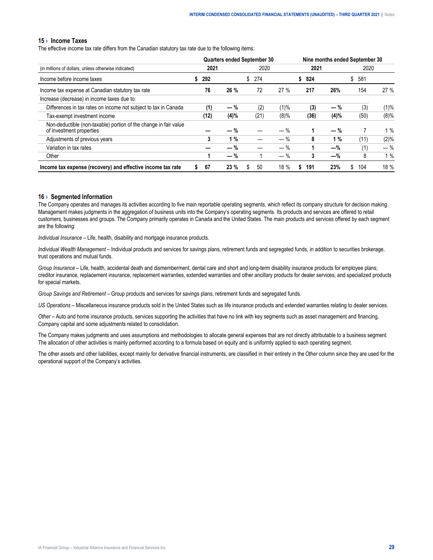#### <span id="page-28-0"></span>**15 › Income Taxes**

The effective income tax rate differs from the Canadian statutory tax rate due to the following items:

|                                                                                              |         |       | <b>Quarters ended September 30</b> |         |           |       | Nine months ended September 30 |       |
|----------------------------------------------------------------------------------------------|---------|-------|------------------------------------|---------|-----------|-------|--------------------------------|-------|
| (in millions of dollars, unless otherwise indicated)                                         | 2021    |       | 2020                               |         | 2021      |       | 2020                           |       |
| Income before income taxes                                                                   | 292     |       | \$274                              |         | 824<br>S. |       | \$<br>581                      |       |
| Income tax expense at Canadian statutory tax rate                                            | 76      | 26 %  | 72                                 | 27%     | 217       | 26%   | 154                            | 27%   |
| Increase (decrease) in income taxes due to:                                                  |         |       |                                    |         |           |       |                                |       |
| Differences in tax rates on income not subject to tax in Canada                              | (1)     | $-$ % | (2)                                | $(1)\%$ | (3)       | $-$ % | (3)                            | (1)%  |
| Tax-exempt investment income                                                                 | (12)    | (4)%  | (21)                               | (8)%    | (36)      | (4)%  | (50)                           | (8)%  |
| Non-deductible (non-taxable) portion of the change in fair value<br>of investment properties |         | — %   |                                    | $-$ %   |           | $-$ % |                                | 1%    |
| Adjustments of previous years                                                                | 3       | 1%    |                                    | $-$ %   | 8         | 1%    | (11)                           | (2)%  |
| Variation in tax rates                                                                       |         | $-$ % |                                    | $-$ %   | 1         | —%    | (1)                            | $-$ % |
| Other                                                                                        |         | $-$ % |                                    | $-$ %   | 3         | -%    | 8                              | 1%    |
| Income tax expense (recovery) and effective income tax rate                                  | 67<br>S | 23%   | 50<br>S                            | 18 %    | 191       | 23%   | 104<br>S.                      | 18 %  |

#### **16 › Segmented Information**

The Company operates and manages its activities according to five main reportable operating segments, which reflect its company structure for decision making. Management makes judgments in the aggregation of business units into the Company's operating segments. Its products and services are offered to retail customers, businesses and groups. The Company primarily operates in Canada and the United States. The main products and services offered by each segment are the following:

*Individual Insurance* – Life, health, disability and mortgage insurance products.

*Individual Wealth Management* – Individual products and services for savings plans, retirement funds and segregated funds, in addition to securities brokerage, trust operations and mutual funds.

*Group Insurance* – Life, health, accidental death and dismemberment, dental care and short and long-term disability insurance products for employee plans; creditor insurance, replacement insurance, replacement warranties, extended warranties and other ancillary products for dealer services; and specialized products for special markets.

*Group Savings and Retirement* – Group products and services for savings plans, retirement funds and segregated funds.

*US Operations* – Miscellaneous insurance products sold in the United States such as life insurance products and extended warranties relating to dealer services.

*Other* – Auto and home insurance products, services supporting the activities that have no link with key segments such as asset management and financing, Company capital and some adjustments related to consolidation.

The Company makes judgments and uses assumptions and methodologies to allocate general expenses that are not directly attributable to a business segment. The allocation of other activities is mainly performed according to a formula based on equity and is uniformly applied to each operating segment.

The other assets and other liabilities, except mainly for derivative financial instruments, are classified in their entirety in the *Other* column since they are used for the operational support of the Company's activities.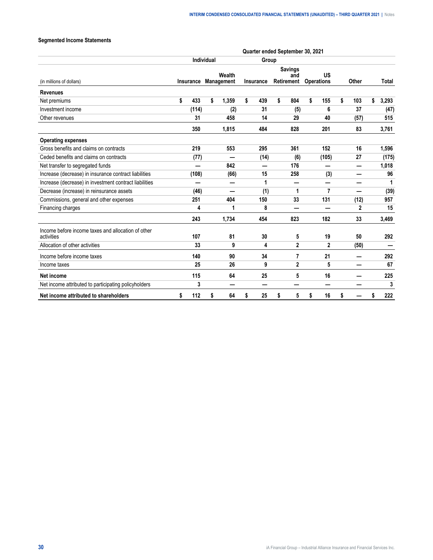#### **Segmented Income Statements**

|                                                                  | Quarter ended September 30, 2021 |           |                   |                      |    |                          |    |                                     |    |                         |    |              |    |              |
|------------------------------------------------------------------|----------------------------------|-----------|-------------------|----------------------|----|--------------------------|----|-------------------------------------|----|-------------------------|----|--------------|----|--------------|
|                                                                  |                                  |           | <b>Individual</b> |                      |    | Group                    |    |                                     |    |                         |    |              |    |              |
| (in millions of dollars)                                         |                                  | Insurance |                   | Wealth<br>Management |    | Insurance                |    | <b>Savings</b><br>and<br>Retirement |    | US<br><b>Operations</b> |    | Other        |    | <b>Total</b> |
| <b>Revenues</b>                                                  |                                  |           |                   |                      |    |                          |    |                                     |    |                         |    |              |    |              |
| Net premiums                                                     | \$                               | 433       | \$                | 1,359                | \$ | 439                      | \$ | 804                                 | \$ | 155                     | \$ | 103          | \$ | 3,293        |
| Investment income                                                |                                  | (114)     |                   | (2)                  |    | 31                       |    | (5)                                 |    | 6                       |    | 37           |    | (47)         |
| Other revenues                                                   |                                  | 31        |                   | 458                  |    | 14                       |    | 29                                  |    | 40                      |    | (57)         |    | 515          |
|                                                                  |                                  | 350       |                   | 1,815                |    | 484                      |    | 828                                 |    | 201                     |    | 83           |    | 3,761        |
| <b>Operating expenses</b>                                        |                                  |           |                   |                      |    |                          |    |                                     |    |                         |    |              |    |              |
| Gross benefits and claims on contracts                           |                                  | 219       |                   | 553                  |    | 295                      |    | 361                                 |    | 152                     |    | 16           |    | 1,596        |
| Ceded benefits and claims on contracts                           |                                  | (77)      |                   |                      |    | (14)                     |    | (6)                                 |    | (105)                   |    | 27           |    | (175)        |
| Net transfer to segregated funds                                 |                                  |           |                   | 842                  |    | $\overline{\phantom{0}}$ |    | 176                                 |    |                         |    |              |    | 1,018        |
| Increase (decrease) in insurance contract liabilities            |                                  | (108)     |                   | (66)                 |    | 15                       |    | 258                                 |    | (3)                     |    | —            |    | 96           |
| Increase (decrease) in investment contract liabilities           |                                  |           |                   |                      |    | 1                        |    |                                     |    |                         |    |              |    | 1            |
| Decrease (increase) in reinsurance assets                        |                                  | (46)      |                   | —                    |    | (1)                      |    | 1                                   |    | 7                       |    | —            |    | (39)         |
| Commissions, general and other expenses                          |                                  | 251       |                   | 404                  |    | 150                      |    | 33                                  |    | 131                     |    | (12)         |    | 957          |
| Financing charges                                                |                                  | 4         |                   | 1                    |    | 8                        |    |                                     |    | —                       |    | $\mathbf{2}$ |    | 15           |
|                                                                  |                                  | 243       |                   | 1,734                |    | 454                      |    | 823                                 |    | 182                     |    | 33           |    | 3,469        |
| Income before income taxes and allocation of other<br>activities |                                  | 107       |                   | 81                   |    | 30                       |    | 5                                   |    | 19                      |    | 50           |    | 292          |
| Allocation of other activities                                   |                                  | 33        |                   | 9                    |    | 4                        |    | $\mathbf{2}$                        |    | $\mathbf{2}$            |    | (50)         |    |              |
| Income before income taxes                                       |                                  | 140       |                   | 90                   |    | 34                       |    | 7                                   |    | 21                      |    |              |    | 292          |
| Income taxes                                                     |                                  | 25        |                   | 26                   |    | 9                        |    | $\mathbf{2}$                        |    | 5                       |    | –            |    | 67           |
| Net income                                                       |                                  | 115       |                   | 64                   |    | 25                       |    | 5                                   |    | 16                      |    |              |    | 225          |
| Net income attributed to participating policyholders             |                                  | 3         |                   | -                    |    | $\overline{\phantom{0}}$ |    |                                     |    |                         |    |              |    | 3            |
| Net income attributed to shareholders                            | \$                               | 112       | \$                | 64                   | \$ | 25                       | \$ | 5                                   | \$ | 16                      | \$ |              | \$ | 222          |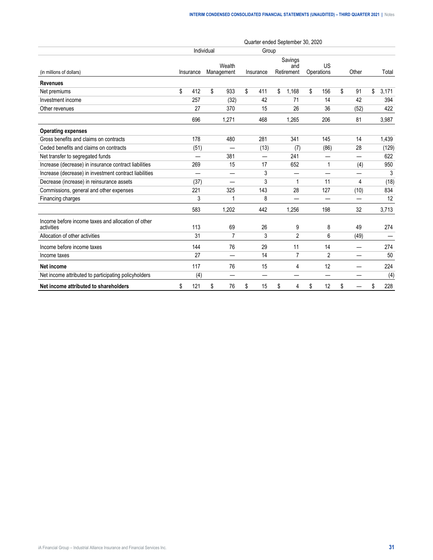|                                                                  |                          | Quarter ended September 30, 2020 |                      |           |                              |                  |          |             |
|------------------------------------------------------------------|--------------------------|----------------------------------|----------------------|-----------|------------------------------|------------------|----------|-------------|
|                                                                  |                          | Individual                       |                      | Group     |                              |                  |          |             |
| (in millions of dollars)                                         | Insurance                |                                  | Wealth<br>Management | Insurance | Savings<br>and<br>Retirement | US<br>Operations | Other    | Total       |
| <b>Revenues</b>                                                  |                          |                                  |                      |           |                              |                  |          |             |
| Net premiums                                                     | \$<br>412                | \$                               | 933                  | \$<br>411 | \$<br>1,168                  | \$<br>156        | \$<br>91 | \$<br>3,171 |
| Investment income                                                | 257                      |                                  | (32)                 | 42        | 71                           | 14               | 42       | 394         |
| Other revenues                                                   | 27                       |                                  | 370                  | 15        | 26                           | 36               | (52)     | 422         |
|                                                                  | 696                      |                                  | 1,271                | 468       | 1,265                        | 206              | 81       | 3,987       |
| <b>Operating expenses</b>                                        |                          |                                  |                      |           |                              |                  |          |             |
| Gross benefits and claims on contracts                           | 178                      |                                  | 480                  | 281       | 341                          | 145              | 14       | 1,439       |
| Ceded benefits and claims on contracts                           | (51)                     |                                  |                      | (13)      | (7)                          | (86)             | 28       | (129)       |
| Net transfer to segregated funds                                 |                          |                                  | 381                  | —         | 241                          |                  |          | 622         |
| Increase (decrease) in insurance contract liabilities            | 269                      |                                  | 15                   | 17        | 652                          | 1                | (4)      | 950         |
| Increase (decrease) in investment contract liabilities           | $\overline{\phantom{0}}$ |                                  | —                    | 3         |                              | —                |          | 3           |
| Decrease (increase) in reinsurance assets                        | (37)                     |                                  |                      | 3         | $\mathbf 1$                  | 11               | 4        | (18)        |
| Commissions, general and other expenses                          | 221                      |                                  | 325                  | 143       | 28                           | 127              | (10)     | 834         |
| Financing charges                                                | 3                        |                                  | 1                    | 8         |                              |                  |          | 12          |
|                                                                  | 583                      |                                  | 1,202                | 442       | 1,256                        | 198              | 32       | 3,713       |
| Income before income taxes and allocation of other<br>activities | 113                      |                                  | 69                   | 26        | 9                            | 8                | 49       | 274         |
| Allocation of other activities                                   | 31                       |                                  | $\overline{7}$       | 3         | 2                            | 6                | (49)     |             |
| Income before income taxes                                       | 144                      |                                  | 76                   | 29        | 11                           | 14               |          | 274         |
| Income taxes                                                     | 27                       |                                  |                      | 14        | $\overline{7}$               | 2                |          | 50          |
| <b>Net income</b>                                                | 117                      |                                  | 76                   | 15        | 4                            | 12               |          | 224         |
| Net income attributed to participating policyholders             | (4)                      |                                  | —                    |           |                              | —                |          | (4)         |
| Net income attributed to shareholders                            | \$<br>121                | \$                               | 76                   | \$<br>15  | \$<br>4                      | \$<br>12         | \$       | \$<br>228   |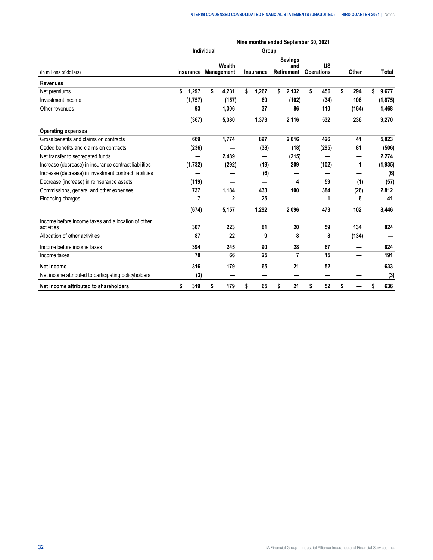|                                                                  |                  |            | Nine months ended September 30, 2021 |                  |                                     |                         |           |    |          |
|------------------------------------------------------------------|------------------|------------|--------------------------------------|------------------|-------------------------------------|-------------------------|-----------|----|----------|
|                                                                  |                  | Individual |                                      | Group            |                                     |                         |           |    |          |
| (in millions of dollars)                                         | <b>Insurance</b> | Management | Wealth                               | <b>Insurance</b> | <b>Savings</b><br>and<br>Retirement | US<br><b>Operations</b> | Other     |    | Total    |
| <b>Revenues</b>                                                  |                  |            |                                      |                  |                                     |                         |           |    |          |
| Net premiums                                                     | 1,297<br>\$      | \$         | 4,231                                | \$<br>1,267      | \$<br>2,132                         | \$<br>456               | \$<br>294 | \$ | 9,677    |
| Investment income                                                | (1,757)          |            | (157)                                | 69               | (102)                               | (34)                    | 106       |    | (1, 875) |
| Other revenues                                                   | 93               |            | 1,306                                | 37               | 86                                  | 110                     | (164)     |    | 1,468    |
|                                                                  | (367)            |            | 5,380                                | 1,373            | 2,116                               | 532                     | 236       |    | 9,270    |
| <b>Operating expenses</b>                                        |                  |            |                                      |                  |                                     |                         |           |    |          |
| Gross benefits and claims on contracts                           | 669              |            | 1,774                                | 897              | 2,016                               | 426                     | 41        |    | 5,823    |
| Ceded benefits and claims on contracts                           | (236)            |            |                                      | (38)             | (18)                                | (295)                   | 81        |    | (506)    |
| Net transfer to segregated funds                                 |                  |            | 2,489                                | ═                | (215)                               |                         |           |    | 2,274    |
| Increase (decrease) in insurance contract liabilities            | (1,732)          |            | (292)                                | (19)             | 209                                 | (102)                   | 1         |    | (1, 935) |
| Increase (decrease) in investment contract liabilities           |                  |            |                                      | (6)              |                                     | ÷.                      |           |    | (6)      |
| Decrease (increase) in reinsurance assets                        | (119)            |            |                                      |                  | 4                                   | 59                      | (1)       |    | (57)     |
| Commissions, general and other expenses                          | 737              |            | 1,184                                | 433              | 100                                 | 384                     | (26)      |    | 2,812    |
| Financing charges                                                | 7                |            | $\mathbf{2}$                         | 25               |                                     | 1                       | 6         |    | 41       |
|                                                                  | (674)            |            | 5,157                                | 1,292            | 2,096                               | 473                     | 102       |    | 8,446    |
| Income before income taxes and allocation of other<br>activities | 307              |            | 223                                  | 81               | 20                                  | 59                      | 134       |    | 824      |
| Allocation of other activities                                   | 87               |            | 22                                   | 9                | 8                                   | 8                       | (134)     |    |          |
| Income before income taxes                                       | 394              |            | 245                                  | 90               | 28                                  | 67                      |           |    | 824      |
| Income taxes                                                     | 78               |            | 66                                   | 25               | 7                                   | 15                      |           |    | 191      |
| Net income                                                       | 316              |            | 179                                  | 65               | 21                                  | 52                      |           |    | 633      |
| Net income attributed to participating policyholders             | (3)              |            |                                      |                  |                                     | -                       |           |    | (3)      |
| Net income attributed to shareholders                            | \$<br>319        | \$         | 179                                  | \$<br>65         | \$<br>21                            | \$<br>52                | \$        | S  | 636      |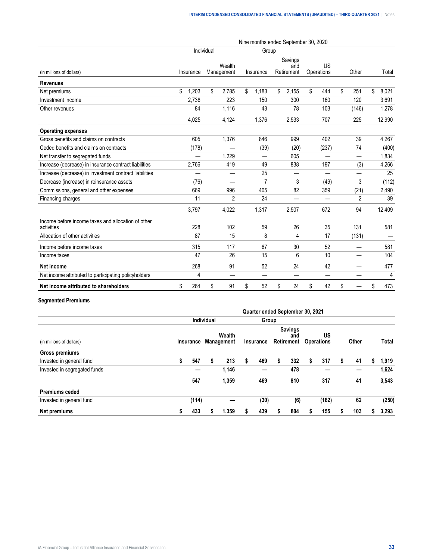|                                                                  |    |           | Individual |                      |    | Group          |    |                              |    |                  |    |       |             |
|------------------------------------------------------------------|----|-----------|------------|----------------------|----|----------------|----|------------------------------|----|------------------|----|-------|-------------|
| (in millions of dollars)                                         |    | Insurance |            | Wealth<br>Management |    | Insurance      |    | Savings<br>and<br>Retirement |    | US<br>Operations |    | Other | Total       |
| <b>Revenues</b>                                                  |    |           |            |                      |    |                |    |                              |    |                  |    |       |             |
| Net premiums                                                     | \$ | 1.203     | \$         | 2,785                | \$ | 1,183          | \$ | 2,155                        | \$ | 444              | \$ | 251   | \$<br>8,021 |
| Investment income                                                |    | 2.738     |            | 223                  |    | 150            |    | 300                          |    | 160              |    | 120   | 3,691       |
| Other revenues                                                   |    | 84        |            | 1,116                |    | 43             |    | 78                           |    | 103              |    | (146) | 1,278       |
|                                                                  |    | 4.025     |            | 4,124                |    | 1.376          |    | 2,533                        |    | 707              |    | 225   | 12,990      |
| <b>Operating expenses</b>                                        |    |           |            |                      |    |                |    |                              |    |                  |    |       |             |
| Gross benefits and claims on contracts                           |    | 605       |            | 1,376                |    | 846            |    | 999                          |    | 402              |    | 39    | 4,267       |
| Ceded benefits and claims on contracts                           |    | (178)     |            |                      |    | (39)           |    | (20)                         |    | (237)            |    | 74    | (400)       |
| Net transfer to segregated funds                                 |    |           |            | 1.229                |    |                |    | 605                          |    |                  |    |       | 1,834       |
| Increase (decrease) in insurance contract liabilities            |    | 2,766     |            | 419                  |    | 49             |    | 838                          |    | 197              |    | (3)   | 4,266       |
| Increase (decrease) in investment contract liabilities           |    |           |            | —                    |    | 25             |    | —                            |    | —                |    |       | 25          |
| Decrease (increase) in reinsurance assets                        |    | (76)      |            |                      |    | $\overline{7}$ |    | 3                            |    | (49)             |    | 3     | (112)       |
| Commissions, general and other expenses                          |    | 669       |            | 996                  |    | 405            |    | 82                           |    | 359              |    | (21)  | 2,490       |
| Financing charges                                                |    | 11        |            | $\overline{2}$       |    | 24             |    |                              |    |                  |    | 2     | 39          |
|                                                                  |    | 3,797     |            | 4,022                |    | 1,317          |    | 2,507                        |    | 672              |    | 94    | 12,409      |
| Income before income taxes and allocation of other<br>activities |    | 228       |            | 102                  |    | 59             |    | 26                           |    | 35               |    | 131   | 581         |
| Allocation of other activities                                   |    | 87        |            | 15                   |    | 8              |    | 4                            |    | 17               |    | (131) |             |
| Income before income taxes                                       |    | 315       |            | 117                  |    | 67             |    | 30                           |    | 52               |    |       | 581         |
| Income taxes                                                     |    | 47        |            | 26                   |    | 15             |    | 6                            |    | 10               |    | —     | 104         |
| Net income                                                       |    | 268       |            | 91                   |    | 52             |    | 24                           |    | 42               |    |       | 477         |
| Net income attributed to participating policyholders             |    | 4         |            | —                    |    |                |    | _                            |    | —                |    |       | 4           |
| Net income attributed to shareholders                            | \$ | 264       | \$         | 91                   | \$ | 52             | \$ | 24                           | \$ | 42               | \$ |       | \$<br>473   |

#### **Segmented Premiums**

|                              |   |       |            |                                | Quarter ended September 30, 2021 |   |                                     |   |                         |   |       |       |
|------------------------------|---|-------|------------|--------------------------------|----------------------------------|---|-------------------------------------|---|-------------------------|---|-------|-------|
|                              |   |       | Individual |                                | Group                            |   |                                     |   |                         |   |       |       |
| (in millions of dollars)     |   |       |            | Wealth<br>Insurance Management | Insurance                        |   | <b>Savings</b><br>and<br>Retirement |   | US<br><b>Operations</b> |   | Other | Total |
| Gross premiums               |   |       |            |                                |                                  |   |                                     |   |                         |   |       |       |
| Invested in general fund     | ъ | 547   | s          | 213                            | 469                              | S | 332                                 | 5 | 317                     | 5 | 41    | 1,919 |
| Invested in segregated funds |   |       |            | 1,146                          |                                  |   | 478                                 |   |                         |   |       | 1,624 |
|                              |   | 547   |            | 1,359                          | 469                              |   | 810                                 |   | 317                     |   | 41    | 3,543 |
| <b>Premiums ceded</b>        |   |       |            |                                |                                  |   |                                     |   |                         |   |       |       |
| Invested in general fund     |   | (114) |            |                                | (30)                             |   | (6)                                 |   | (162)                   |   | 62    | (250) |
| Net premiums                 |   | 433   |            | 1,359                          | 439                              |   | 804                                 |   | 155                     |   | 103   | 3,293 |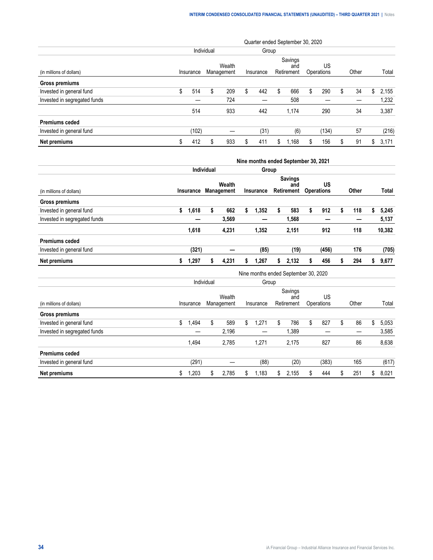|                              |     |           |            |                      |    |           | Quarter ended September 30, 2020 |    |                  |    |       |     |       |
|------------------------------|-----|-----------|------------|----------------------|----|-----------|----------------------------------|----|------------------|----|-------|-----|-------|
|                              |     |           | Individual |                      |    | Group     |                                  |    |                  |    |       |     |       |
| (in millions of dollars)     |     | Insurance |            | Wealth<br>Management |    | Insurance | Savings<br>and<br>Retirement     |    | US<br>Operations |    | Other |     | Total |
| Gross premiums               |     |           |            |                      |    |           |                                  |    |                  |    |       |     |       |
| Invested in general fund     | \$. | 514       | S          | 209                  | \$ | 442       | \$<br>666                        | S. | 290              | \$ | 34    | \$. | 2.155 |
| Invested in segregated funds |     |           |            | 724                  |    |           | 508                              |    |                  |    |       |     | 1,232 |
|                              |     | 514       |            | 933                  |    | 442       | 1.174                            |    | 290              |    | 34    |     | 3,387 |
| <b>Premiums ceded</b>        |     |           |            |                      |    |           |                                  |    |                  |    |       |     |       |
| Invested in general fund     |     | (102)     |            |                      |    | (31)      | (6)                              |    | (134)            |    | 57    |     | (216) |
| Net premiums                 |     | 412       | \$         | 933                  | S  | 411       | \$<br>1.168                      | S  | 156              | S  | 91    | S.  | 3.171 |

|                              | Nine months ended September 30, 2021 |           |                   |                             |    |                                      |    |                                     |    |                                |    |              |             |
|------------------------------|--------------------------------------|-----------|-------------------|-----------------------------|----|--------------------------------------|----|-------------------------------------|----|--------------------------------|----|--------------|-------------|
|                              |                                      |           | <b>Individual</b> |                             |    | Group                                |    |                                     |    |                                |    |              |             |
| (in millions of dollars)     | <b>Insurance</b>                     |           |                   | Wealth<br><b>Management</b> |    | Insurance                            |    | <b>Savings</b><br>and<br>Retirement |    | <b>US</b><br><b>Operations</b> |    | <b>Other</b> | Total       |
| Gross premiums               |                                      |           |                   |                             |    |                                      |    |                                     |    |                                |    |              |             |
| Invested in general fund     | \$                                   | 1,618     | \$                | 662                         | \$ | 1,352                                | \$ | 583                                 | \$ | 912                            | \$ | 118          | \$<br>5,245 |
| Invested in segregated funds |                                      |           |                   | 3,569                       |    |                                      |    | 1,568                               |    | _                              |    |              | 5,137       |
|                              |                                      | 1,618     |                   | 4,231                       |    | 1,352                                |    | 2,151                               |    | 912                            |    | 118          | 10,382      |
| <b>Premiums ceded</b>        |                                      |           |                   |                             |    |                                      |    |                                     |    |                                |    |              |             |
| Invested in general fund     |                                      | (321)     |                   |                             |    | (85)                                 |    | (19)                                |    | (456)                          |    | 176          | (705)       |
| Net premiums                 | \$                                   | 1,297     | \$                | 4,231                       | \$ | 1,267                                | \$ | 2,132                               | \$ | 456                            | \$ | 294          | \$<br>9,677 |
|                              |                                      |           |                   |                             |    | Nine months ended September 30, 2020 |    |                                     |    |                                |    |              |             |
|                              |                                      |           | Individual        |                             |    | Group                                |    |                                     |    |                                |    |              |             |
| (in millions of dollars)     |                                      | Insurance |                   | Wealth<br>Management        |    | Insurance                            |    | Savings<br>and<br>Retirement        |    | US<br>Operations               |    | Other        | Total       |
| Gross premiums               |                                      |           |                   |                             |    |                                      |    |                                     |    |                                |    |              |             |
| Invested in general fund     | \$                                   | 1,494     | \$                | 589                         | \$ | 1,271                                | \$ | 786                                 | \$ | 827                            | \$ | 86           | \$<br>5,053 |
| Invested in segregated funds |                                      |           |                   | 2,196                       |    |                                      |    | 1,389                               |    |                                |    |              | 3,585       |
|                              |                                      | 1,494     |                   | 2,785                       |    | 1,271                                |    | 2,175                               |    | 827                            |    | 86           | 8,638       |
| <b>Premiums ceded</b>        |                                      |           |                   |                             |    |                                      |    |                                     |    |                                |    |              |             |
| Invested in general fund     |                                      | (291)     |                   | --                          |    | (88)                                 |    | (20)                                |    | (383)                          |    | 165          | (617)       |
| Net premiums                 | \$                                   | 1,203     | \$                | 2,785                       | \$ | 1,183                                | \$ | 2,155                               | \$ | 444                            | \$ | 251          | \$<br>8,021 |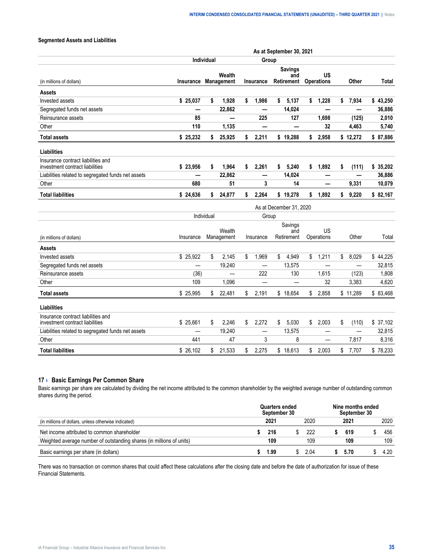#### <span id="page-34-0"></span>**Segmented Assets and Liabilities**

|                                                                       | As at September 30, 2021 |            |                             |    |                          |    |                                            |    |                                |    |              |          |       |
|-----------------------------------------------------------------------|--------------------------|------------|-----------------------------|----|--------------------------|----|--------------------------------------------|----|--------------------------------|----|--------------|----------|-------|
|                                                                       |                          | Individual |                             |    | Group                    |    |                                            |    |                                |    |              |          |       |
| (in millions of dollars)                                              | Insurance                |            | Wealth<br><b>Management</b> |    | <b>Insurance</b>         |    | <b>Savings</b><br>and<br><b>Retirement</b> |    | <b>US</b><br><b>Operations</b> |    | <b>Other</b> |          | Total |
| <b>Assets</b>                                                         |                          |            |                             |    |                          |    |                                            |    |                                |    |              |          |       |
| Invested assets                                                       | \$25,037                 | \$         | 1,928                       | \$ | 1,986                    | \$ | 5,137                                      | \$ | 1,228                          | \$ | 7,934        | \$43,250 |       |
| Segregated funds net assets                                           |                          |            | 22,862                      |    | —                        |    | 14,024                                     |    |                                |    |              | 36,886   |       |
| Reinsurance assets                                                    | 85                       |            |                             |    | 225                      |    | 127                                        |    | 1,698                          |    | (125)        |          | 2,010 |
| Other                                                                 | 110                      |            | 1,135                       |    |                          |    |                                            |    | 32                             |    | 4,463        |          | 5,740 |
| <b>Total assets</b>                                                   | \$25,232                 | \$         | 25,925                      | \$ | 2,211                    |    | \$19,288                                   | \$ | 2,958                          |    | \$12,272     | \$87,886 |       |
| Liabilities                                                           |                          |            |                             |    |                          |    |                                            |    |                                |    |              |          |       |
| Insurance contract liabilities and<br>investment contract liabilities | \$23,956                 | \$         | 1,964                       | \$ | 2,261                    | \$ | 5,240                                      | \$ | 1,892                          | \$ | (111)        | \$35,202 |       |
| Liabilities related to segregated funds net assets                    |                          |            | 22,862                      |    |                          |    | 14,024                                     |    |                                |    |              | 36,886   |       |
| Other                                                                 | 680                      |            | 51                          |    | 3                        |    | 14                                         |    |                                |    | 9,331        | 10,079   |       |
| <b>Total liabilities</b>                                              | \$24,636                 | \$         | 24,877                      | \$ | 2,264                    |    | \$19,278                                   | \$ | 1,892                          | \$ | 9,220        | \$82,167 |       |
|                                                                       |                          |            |                             |    |                          |    | As at December 31, 2020                    |    |                                |    |              |          |       |
|                                                                       |                          | Individual |                             |    | Group                    |    |                                            |    |                                |    |              |          |       |
|                                                                       |                          |            | Wealth                      |    |                          |    | Savings                                    |    | US                             |    |              |          |       |
| (in millions of dollars)                                              | Insurance                |            | Management                  |    | Insurance                |    | and<br>Retirement                          |    | Operations                     |    | Other        |          | Total |
| Assets                                                                |                          |            |                             |    |                          |    |                                            |    |                                |    |              |          |       |
| Invested assets                                                       | \$25,922                 | \$         | 2,145                       | \$ | 1,969                    | \$ | 4,949                                      | \$ | 1,211                          | \$ | 8,029        | \$44,225 |       |
| Segregated funds net assets                                           |                          |            | 19,240                      |    | $\overline{\phantom{0}}$ |    | 13,575                                     |    |                                |    | —            | 32,815   |       |
| Reinsurance assets                                                    | (36)                     |            |                             |    | 222                      |    | 130                                        |    | 1.615                          |    | (123)        |          | 1,808 |
| Other                                                                 | 109                      |            | 1.096                       |    | —                        |    |                                            |    | 32                             |    | 3,383        |          | 4,620 |
| <b>Total assets</b>                                                   | \$25,995                 | \$         | 22,481                      | \$ | 2,191                    |    | \$18,654                                   | \$ | 2,858                          |    | \$11,289     | \$83,468 |       |
| Liabilities                                                           |                          |            |                             |    |                          |    |                                            |    |                                |    |              |          |       |
| Insurance contract liabilities and<br>investment contract liabilities | \$25,661                 | \$         | 2,246                       | \$ | 2,272                    | \$ | 5,030                                      | \$ | 2,003                          | \$ | (110)        | \$37,102 |       |
| Liabilities related to segregated funds net assets                    |                          |            | 19,240                      |    | —                        |    | 13,575                                     |    | —                              |    | —            | 32,815   |       |
| Other                                                                 | 441                      |            | 47                          |    | 3                        |    | 8                                          |    | —                              |    | 7,817        |          | 8,316 |
| <b>Total liabilities</b>                                              | \$26.102                 | \$         | 21,533                      | \$ | 2.275                    | \$ | 18,613                                     | \$ | 2.003                          | \$ | 7,707        | \$78,233 |       |

#### **17 › Basic Earnings Per Common Share**

Basic earnings per share are calculated by dividing the net income attributed to the common shareholder by the weighted average number of outstanding common shares during the period.

|                                                                   | ember 30 | ers ended |     |     | 'ns ended<br>er 30 |     |
|-------------------------------------------------------------------|----------|-----------|-----|-----|--------------------|-----|
| ions of dollars, unless otherwise indicated)                      | 202      |           |     | 202 |                    |     |
| income attributed to common shareholder<br>Net:                   | 216      |           | フクツ | 619 |                    | 456 |
| 'hted average number of outstanding shares (in millions of units) | 109      |           |     | ۱09 |                    | 109 |
| Basic earnings per share (in dollars)                             | .99      |           | 114 |     |                    |     |

There was no transaction on common shares that could affect these calculations after the closing date and before the date of authorization for issue of these Financial Statements.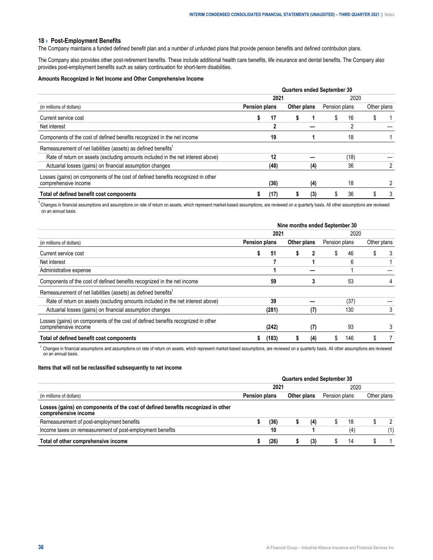#### <span id="page-35-0"></span>**18 › Post-Employment Benefits**

The Company maintains a funded defined benefit plan and a number of unfunded plans that provide pension benefits and defined contribution plans.

The Company also provides other post-retirement benefits. These include additional health care benefits, life insurance and dental benefits. The Company also provides post-employment benefits such as salary continuation for short-term disabilities.

#### **Amounts Recognized in Net Income and Other Comprehensive Income**

|                                                                                                          |                      |      |             |     | <b>Quarters ended September 30</b> |      |             |  |
|----------------------------------------------------------------------------------------------------------|----------------------|------|-------------|-----|------------------------------------|------|-------------|--|
|                                                                                                          |                      | 2021 |             |     |                                    | 2020 |             |  |
| (in millions of dollars)                                                                                 | <b>Pension plans</b> |      | Other plans |     | Pension plans                      |      | Other plans |  |
| Current service cost                                                                                     |                      | 17   | S           |     | \$                                 | 16   |             |  |
| Net interest                                                                                             |                      |      |             |     |                                    | 2    |             |  |
| Components of the cost of defined benefits recognized in the net income                                  |                      | 19   |             |     |                                    | 18   |             |  |
| Remeasurement of net liabilities (assets) as defined benefits <sup>1</sup>                               |                      |      |             |     |                                    |      |             |  |
| Rate of return on assets (excluding amounts included in the net interest above)                          |                      | 12   |             |     |                                    | (18) |             |  |
| Actuarial losses (gains) on financial assumption changes                                                 |                      | (48) |             | (4) |                                    | 36   |             |  |
| Losses (gains) on components of the cost of defined benefits recognized in other<br>comprehensive income |                      | (36) |             | (4) |                                    | 18   |             |  |
| Total of defined benefit cost components                                                                 |                      | (17) |             | (3) | S                                  | 36   |             |  |

<sup>1</sup> Changes in financial assumptions and assumptions on rate of return on assets, which represent market-based assumptions, are reviewed on a quarterly basis. All other assumptions are reviewed on an annual basis.

| (in millions of dollars)                                                                                 | Nine months ended September 30 |       |             |     |               |      |             |   |  |
|----------------------------------------------------------------------------------------------------------|--------------------------------|-------|-------------|-----|---------------|------|-------------|---|--|
|                                                                                                          | 2021                           |       |             |     | 2020          |      |             |   |  |
|                                                                                                          | Pension plans                  |       | Other plans |     | Pension plans |      | Other plans |   |  |
| Current service cost                                                                                     |                                | 51    | 5           |     | S             | 46   | S           | 3 |  |
| Net interest                                                                                             |                                |       |             |     |               | 6    |             |   |  |
| Administrative expense                                                                                   |                                |       |             |     |               |      |             |   |  |
| Components of the cost of defined benefits recognized in the net income                                  |                                | 59    |             |     |               | 53   |             |   |  |
| Remeasurement of net liabilities (assets) as defined benefits <sup>1</sup>                               |                                |       |             |     |               |      |             |   |  |
| Rate of return on assets (excluding amounts included in the net interest above)                          |                                | 39    |             |     |               | (37) |             |   |  |
| Actuarial losses (gains) on financial assumption changes                                                 |                                | (281) |             | (7) |               | 130  |             | 3 |  |
| Losses (gains) on components of the cost of defined benefits recognized in other<br>comprehensive income |                                | (242) |             | (7) |               | 93   |             |   |  |
| Total of defined benefit cost components                                                                 |                                | (183) |             | (4) |               | 146  |             |   |  |

<sup>1</sup>Changes in financial assumptions and assumptions on rate of return on assets, which represent market-based assumptions, are reviewed on a quarterly basis. All other assumptions are reviewed on an annual basis.

#### **Items that will not be reclassified subsequently to net income**

|                                                                                                          | <b>Quarters ended September 30</b> |               |  |             |               |    |             |  |  |  |
|----------------------------------------------------------------------------------------------------------|------------------------------------|---------------|--|-------------|---------------|----|-------------|--|--|--|
|                                                                                                          | 2021                               |               |  |             | 2020          |    |             |  |  |  |
| (in millions of dollars)                                                                                 |                                    | Pension plans |  | Other plans | Pension plans |    | Other plans |  |  |  |
| Losses (gains) on components of the cost of defined benefits recognized in other<br>comprehensive income |                                    |               |  |             |               |    |             |  |  |  |
| Remeasurement of post-employment benefits                                                                |                                    | '36'          |  |             |               | 18 |             |  |  |  |
| Income taxes on remeasurement of post-employment benefits                                                |                                    | 10            |  |             |               |    |             |  |  |  |
| Total of other comprehensive income                                                                      |                                    |               |  |             |               | 14 |             |  |  |  |